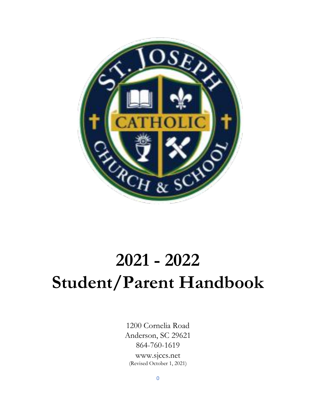

# **2021 - 2022 Student/Parent Handbook**

1200 Cornelia Road Anderson, SC 29621 864-760-1619 www.sjccs.net (Revised October 1, 2021)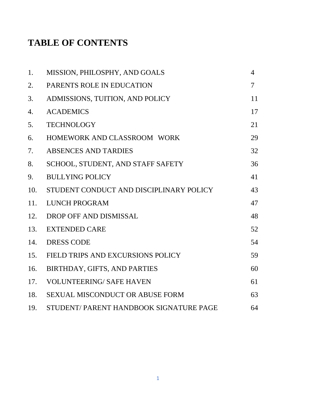## **TABLE OF CONTENTS**

| 1.  | MISSION, PHILOSPHY, AND GOALS           | $\overline{4}$ |
|-----|-----------------------------------------|----------------|
| 2.  | PARENTS ROLE IN EDUCATION               | $\tau$         |
| 3.  | ADMISSIONS, TUITION, AND POLICY         | 11             |
| 4.  | <b>ACADEMICS</b>                        | 17             |
| 5.  | <b>TECHNOLOGY</b>                       | 21             |
| 6.  | HOMEWORK AND CLASSROOM WORK             | 29             |
| 7.  | <b>ABSENCES AND TARDIES</b>             | 32             |
| 8.  | SCHOOL, STUDENT, AND STAFF SAFETY       | 36             |
| 9.  | <b>BULLYING POLICY</b>                  | 41             |
| 10. | STUDENT CONDUCT AND DISCIPLINARY POLICY | 43             |
| 11. | <b>LUNCH PROGRAM</b>                    | 47             |
| 12. | DROP OFF AND DISMISSAL                  | 48             |
| 13. | <b>EXTENDED CARE</b>                    | 52             |
| 14. | <b>DRESS CODE</b>                       | 54             |
| 15. | FIELD TRIPS AND EXCURSIONS POLICY       | 59             |
| 16. | BIRTHDAY, GIFTS, AND PARTIES            | 60             |
| 17. | <b>VOLUNTEERING/ SAFE HAVEN</b>         | 61             |
| 18. | SEXUAL MISCONDUCT OR ABUSE FORM         | 63             |
| 19. | STUDENT/PARENT HANDBOOK SIGNATURE PAGE  | 64             |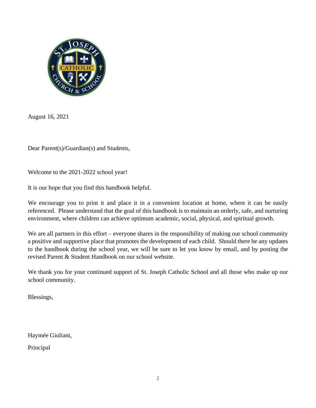

August 16, 2021

Dear Parent(s)/Guardian(s) and Students,

Welcome to the 2021-2022 school year!

It is our hope that you find this handbook helpful.

We encourage you to print it and place it in a convenient location at home, where it can be easily referenced. Please understand that the goal of this handbook is to maintain an orderly, safe, and nurturing environment, where children can achieve optimum academic, social, physical, and spiritual growth.

We are all partners in this effort – everyone shares in the responsibility of making our school community a positive and supportive place that promotes the development of each child. Should there be any updates to the handbook during the school year, we will be sure to let you know by email, and by posting the revised Parent & Student Handbook on our school website.

We thank you for your continued support of St. Joseph Catholic School and all those who make up our school community.

Blessings,

Haymée Giuliani,

Principal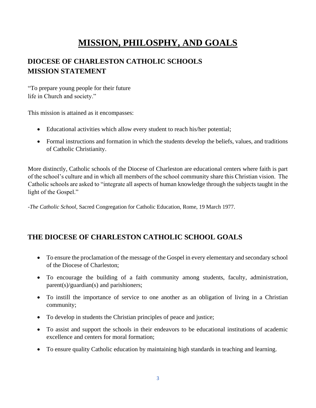## **MISSION, PHILOSPHY, AND GOALS**

## **DIOCESE OF CHARLESTON CATHOLIC SCHOOLS MISSION STATEMENT**

"To prepare young people for their future life in Church and society."

This mission is attained as it encompasses:

- Educational activities which allow every student to reach his/her potential;
- Formal instructions and formation in which the students develop the beliefs, values, and traditions of Catholic Christianity.

More distinctly, Catholic schools of the Diocese of Charleston are educational centers where faith is part of the school's culture and in which all members of the school community share this Christian vision. The Catholic schools are asked to "integrate all aspects of human knowledge through the subjects taught in the light of the Gospel."

*-The Catholic School*, Sacred Congregation for Catholic Education, Rome, 19 March 1977.

## **THE DIOCESE OF CHARLESTON CATHOLIC SCHOOL GOALS**

- To ensure the proclamation of the message of the Gospel in every elementary and secondary school of the Diocese of Charleston;
- To encourage the building of a faith community among students, faculty, administration, parent(s)/guardian(s) and parishioners;
- To instill the importance of service to one another as an obligation of living in a Christian community;
- To develop in students the Christian principles of peace and justice;
- To assist and support the schools in their endeavors to be educational institutions of academic excellence and centers for moral formation;
- To ensure quality Catholic education by maintaining high standards in teaching and learning.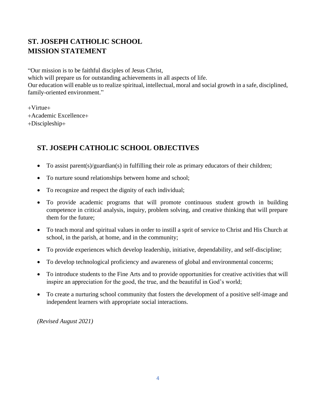## **ST. JOSEPH CATHOLIC SCHOOL MISSION STATEMENT**

"Our mission is to be faithful disciples of Jesus Christ, which will prepare us for outstanding achievements in all aspects of life. Our education will enable us to realize spiritual, intellectual, moral and social growth in a safe, disciplined, family-oriented environment."

+Virtue+

+Academic Excellence+

+Discipleship+

## **ST. JOSEPH CATHOLIC SCHOOL OBJECTIVES**

- To assist parent(s)/guardian(s) in fulfilling their role as primary educators of their children;
- To nurture sound relationships between home and school;
- To recognize and respect the dignity of each individual;
- To provide academic programs that will promote continuous student growth in building competence in critical analysis, inquiry, problem solving, and creative thinking that will prepare them for the future;
- To teach moral and spiritual values in order to instill a sprit of service to Christ and His Church at school, in the parish, at home, and in the community;
- To provide experiences which develop leadership, initiative, dependability, and self-discipline;
- To develop technological proficiency and awareness of global and environmental concerns;
- To introduce students to the Fine Arts and to provide opportunities for creative activities that will inspire an appreciation for the good, the true, and the beautiful in God's world;
- To create a nurturing school community that fosters the development of a positive self-image and independent learners with appropriate social interactions.

*(Revised August 2021)*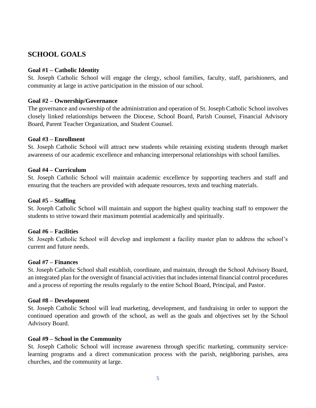## **SCHOOL GOALS**

#### **Goal #1 – Catholic Identity**

St. Joseph Catholic School will engage the clergy, school families, faculty, staff, parishioners, and community at large in active participation in the mission of our school.

#### **Goal #2 – Ownership/Governance**

The governance and ownership of the administration and operation of St. Joseph Catholic School involves closely linked relationships between the Diocese, School Board, Parish Counsel, Financial Advisory Board, Parent Teacher Organization, and Student Counsel.

#### **Goal #3 – Enrollment**

St. Joseph Catholic School will attract new students while retaining existing students through market awareness of our academic excellence and enhancing interpersonal relationships with school families.

#### **Goal #4 – Curriculum**

St. Joseph Catholic School will maintain academic excellence by supporting teachers and staff and ensuring that the teachers are provided with adequate resources, texts and teaching materials.

#### **Goal #5 – Staffing**

St. Joseph Catholic School will maintain and support the highest quality teaching staff to empower the students to strive toward their maximum potential academically and spiritually.

#### **Goal #6 – Facilities**

St. Joseph Catholic School will develop and implement a facility master plan to address the school's current and future needs.

#### **Goal #7 – Finances**

St. Joseph Catholic School shall establish, coordinate, and maintain, through the School Advisory Board, an integrated plan for the oversight of financial activities that includes internal financial control procedures and a process of reporting the results regularly to the entire School Board, Principal, and Pastor.

#### **Goal #8 – Development**

St. Joseph Catholic School will lead marketing, development, and fundraising in order to support the continued operation and growth of the school, as well as the goals and objectives set by the School Advisory Board.

#### **Goal #9 – School in the Community**

St. Joseph Catholic School will increase awareness through specific marketing, community servicelearning programs and a direct communication process with the parish, neighboring parishes, area churches, and the community at large.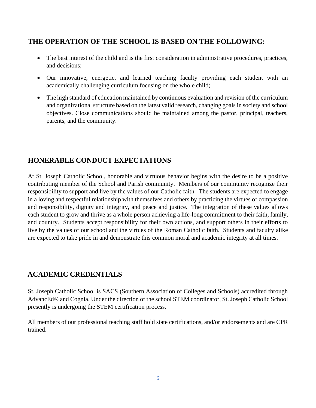## **THE OPERATION OF THE SCHOOL IS BASED ON THE FOLLOWING:**

- The best interest of the child and is the first consideration in administrative procedures, practices, and decisions;
- Our innovative, energetic, and learned teaching faculty providing each student with an academically challenging curriculum focusing on the whole child;
- The high standard of education maintained by continuous evaluation and revision of the curriculum and organizational structure based on the latest valid research, changing goals in society and school objectives. Close communications should be maintained among the pastor, principal, teachers, parents, and the community.

## **HONERABLE CONDUCT EXPECTATIONS**

At St. Joseph Catholic School, honorable and virtuous behavior begins with the desire to be a positive contributing member of the School and Parish community. Members of our community recognize their responsibility to support and live by the values of our Catholic faith. The students are expected to engage in a loving and respectful relationship with themselves and others by practicing the virtues of compassion and responsibility, dignity and integrity, and peace and justice. The integration of these values allows each student to grow and thrive as a whole person achieving a life-long commitment to their faith, family, and country. Students accept responsibility for their own actions, and support others in their efforts to live by the values of our school and the virtues of the Roman Catholic faith. Students and faculty alike are expected to take pride in and demonstrate this common moral and academic integrity at all times.

## **ACADEMIC CREDENTIALS**

St. Joseph Catholic School is SACS (Southern Association of Colleges and Schools) accredited through AdvancEd® and Cognia. Under the direction of the school STEM coordinator, St. Joseph Catholic School presently is undergoing the STEM certification process.

All members of our professional teaching staff hold state certifications, and/or endorsements and are CPR trained.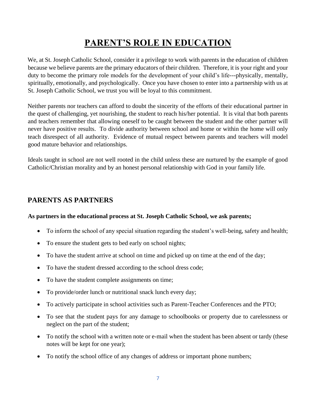## **PARENT'S ROLE IN EDUCATION**

We, at St. Joseph Catholic School, consider it a privilege to work with parents in the education of children because we believe parents are the primary educators of their children. Therefore, it is your right and your duty to become the primary role models for the development of your child's life---physically, mentally, spiritually, emotionally, and psychologically. Once you have chosen to enter into a partnership with us at St. Joseph Catholic School, we trust you will be loyal to this commitment.

Neither parents nor teachers can afford to doubt the sincerity of the efforts of their educational partner in the quest of challenging, yet nourishing, the student to reach his/her potential. It is vital that both parents and teachers remember that allowing oneself to be caught between the student and the other partner will never have positive results. To divide authority between school and home or within the home will only teach disrespect of all authority. Evidence of mutual respect between parents and teachers will model good mature behavior and relationships.

Ideals taught in school are not well rooted in the child unless these are nurtured by the example of good Catholic/Christian morality and by an honest personal relationship with God in your family life.

#### **PARENTS AS PARTNERS**

#### **As partners in the educational process at St. Joseph Catholic School, we ask parents;**

- To inform the school of any special situation regarding the student's well-being, safety and health;
- To ensure the student gets to bed early on school nights;
- To have the student arrive at school on time and picked up on time at the end of the day;
- To have the student dressed according to the school dress code;
- To have the student complete assignments on time;
- To provide/order lunch or nutritional snack lunch every day;
- To actively participate in school activities such as Parent-Teacher Conferences and the PTO;
- To see that the student pays for any damage to schoolbooks or property due to carelessness or neglect on the part of the student;
- To notify the school with a written note or e-mail when the student has been absent or tardy (these notes will be kept for one year);
- To notify the school office of any changes of address or important phone numbers;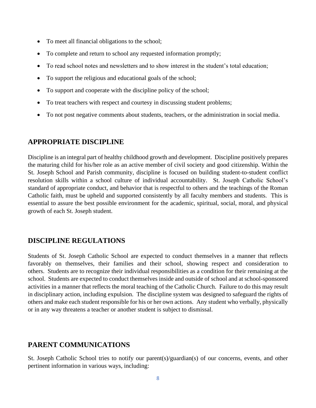- To meet all financial obligations to the school;
- To complete and return to school any requested information promptly;
- To read school notes and newsletters and to show interest in the student's total education;
- To support the religious and educational goals of the school;
- To support and cooperate with the discipline policy of the school;
- To treat teachers with respect and courtesy in discussing student problems;
- To not post negative comments about students, teachers, or the administration in social media.

#### **APPROPRIATE DISCIPLINE**

Discipline is an integral part of healthy childhood growth and development. Discipline positively prepares the maturing child for his/her role as an active member of civil society and good citizenship. Within the St. Joseph School and Parish community, discipline is focused on building student-to-student conflict resolution skills within a school culture of individual accountability. St. Joseph Catholic School's standard of appropriate conduct, and behavior that is respectful to others and the teachings of the Roman Catholic faith, must be upheld and supported consistently by all faculty members and students. This is essential to assure the best possible environment for the academic, spiritual, social, moral, and physical growth of each St. Joseph student.

### **DISCIPLINE REGULATIONS**

Students of St. Joseph Catholic School are expected to conduct themselves in a manner that reflects favorably on themselves, their families and their school, showing respect and consideration to others. Students are to recognize their individual responsibilities as a condition for their remaining at the school. Students are expected to conduct themselves inside and outside of school and at school-sponsored activities in a manner that reflects the moral teaching of the Catholic Church. Failure to do this may result in disciplinary action, including expulsion. The discipline system was designed to safeguard the rights of others and make each student responsible for his or her own actions. Any student who verbally, physically or in any way threatens a teacher or another student is subject to dismissal.

### **PARENT COMMUNICATIONS**

St. Joseph Catholic School tries to notify our parent(s)/guardian(s) of our concerns, events, and other pertinent information in various ways, including: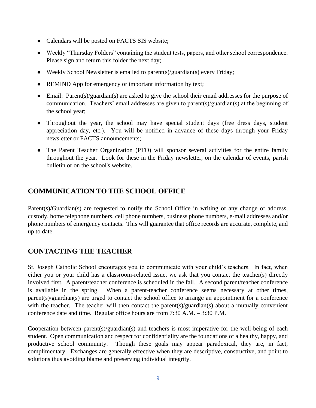- Calendars will be posted on FACTS SIS website;
- Weekly "Thursday Folders" containing the student tests, papers, and other school correspondence. Please sign and return this folder the next day;
- Weekly School Newsletter is emailed to parent(s)/guardian(s) every Friday;
- REMIND App for emergency or important information by text;
- Email: Parent(s)/guardian(s) are asked to give the school their email addresses for the purpose of communication. Teachers' email addresses are given to parent(s)/guardian(s) at the beginning of the school year;
- Throughout the year, the school may have special student days (free dress days, student appreciation day, etc.). You will be notified in advance of these days through your Friday newsletter or FACTS announcements;
- The Parent Teacher Organization (PTO) will sponsor several activities for the entire family throughout the year. Look for these in the Friday newsletter, on the calendar of events, parish bulletin or on the school's website.

## **COMMUNICATION TO THE SCHOOL OFFICE**

Parent(s)/Guardian(s) are requested to notify the School Office in writing of any change of address, custody, home telephone numbers, cell phone numbers, business phone numbers, e-mail addresses and/or phone numbers of emergency contacts. This will guarantee that office records are accurate, complete, and up to date.

## **CONTACTING THE TEACHER**

St. Joseph Catholic School encourages you to communicate with your child's teachers. In fact, when either you or your child has a classroom-related issue, we ask that you contact the teacher(s) directly involved first. A parent/teacher conference is scheduled in the fall. A second parent/teacher conference is available in the spring. When a parent-teacher conference seems necessary at other times, parent(s)/guardian(s) are urged to contact the school office to arrange an appointment for a conference with the teacher. The teacher will then contact the parent(s)/guardian(s) about a mutually convenient conference date and time. Regular office hours are from 7:30 A.M. – 3:30 P.M.

Cooperation between parent(s)/guardian(s) and teachers is most imperative for the well-being of each student. Open communication and respect for confidentiality are the foundations of a healthy, happy, and productive school community. Though these goals may appear paradoxical, they are, in fact, complimentary. Exchanges are generally effective when they are descriptive, constructive, and point to solutions thus avoiding blame and preserving individual integrity.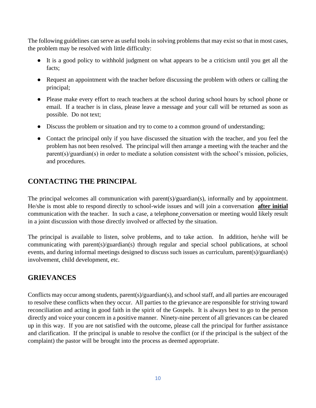The following guidelines can serve as useful tools in solving problems that may exist so that in most cases, the problem may be resolved with little difficulty:

- It is a good policy to withhold judgment on what appears to be a criticism until you get all the facts;
- Request an appointment with the teacher before discussing the problem with others or calling the principal;
- Please make every effort to reach teachers at the school during school hours by school phone or email. If a teacher is in class, please leave a message and your call will be returned as soon as possible. Do not text;
- Discuss the problem or situation and try to come to a common ground of understanding;
- Contact the principal only if you have discussed the situation with the teacher, and you feel the problem has not been resolved. The principal will then arrange a meeting with the teacher and the parent(s)/guardian(s) in order to mediate a solution consistent with the school's mission, policies, and procedures.

## **CONTACTING THE PRINCIPAL**

The principal welcomes all communication with parent(s)/guardian(s), informally and by appointment. He/she is most able to respond directly to school-wide issues and will join a conversation **after initial** communication with the teacher. In such a case, a telephone conversation or meeting would likely result in a joint discussion with those directly involved or affected by the situation.

The principal is available to listen, solve problems, and to take action. In addition, he/she will be communicating with parent(s)/guardian(s) through regular and special school publications, at school events, and during informal meetings designed to discuss such issues as curriculum, parent(s)/guardian(s) involvement, child development, etc.

## **GRIEVANCES**

Conflicts may occur among students, parent(s)/guardian(s), and school staff, and all parties are encouraged to resolve these conflicts when they occur. All parties to the grievance are responsible for striving toward reconciliation and acting in good faith in the spirit of the Gospels. It is always best to go to the person directly and voice your concern in a positive manner. Ninety-nine percent of all grievances can be cleared up in this way. If you are not satisfied with the outcome, please call the principal for further assistance and clarification. If the principal is unable to resolve the conflict (or if the principal is the subject of the complaint) the pastor will be brought into the process as deemed appropriate.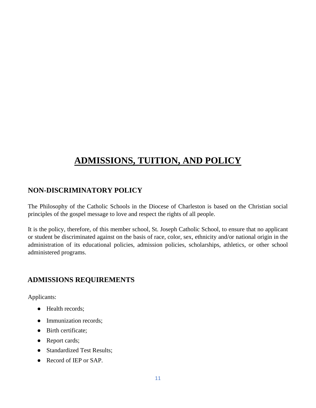## **ADMISSIONS, TUITION, AND POLICY**

## **NON-DISCRIMINATORY POLICY**

The Philosophy of the Catholic Schools in the Diocese of Charleston is based on the Christian social principles of the gospel message to love and respect the rights of all people.

It is the policy, therefore, of this member school, St. Joseph Catholic School, to ensure that no applicant or student be discriminated against on the basis of race, color, sex, ethnicity and/or national origin in the administration of its educational policies, admission policies, scholarships, athletics, or other school administered programs.

### **ADMISSIONS REQUIREMENTS**

Applicants:

- Health records;
- Immunization records;
- Birth certificate;
- Report cards;
- Standardized Test Results;
- Record of IEP or SAP.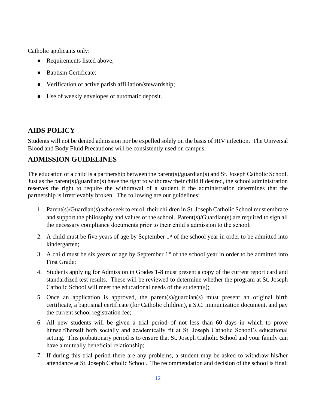Catholic applicants only:

- Requirements listed above;
- Baptism Certificate;
- Verification of active parish affiliation/stewardship;
- Use of weekly envelopes or automatic deposit.

## **AIDS POLICY**

Students will not be denied admission nor be expelled solely on the basis of HIV infection. The Universal Blood and Body Fluid Precautions will be consistently used on campus.

## **ADMISSION GUIDELINES**

The education of a child is a partnership between the parent(s)/guardian(s) and St. Joseph Catholic School. Just as the parent(s)/guardian(s) have the right to withdraw their child if desired, the school administration reserves the right to require the withdrawal of a student if the administration determines that the partnership is irretrievably broken. The following are our guidelines:

- 1. Parent(s)/Guardian(s) who seek to enroll their children in St. Joseph Catholic School must embrace and support the philosophy and values of the school. Parent(s)/Guardian(s) are required to sign all the necessary compliance documents prior to their child's admission to the school;
- 2. A child must be five years of age by September  $1<sup>st</sup>$  of the school year in order to be admitted into kindergarten;
- 3. A child must be six years of age by September  $1<sup>st</sup>$  of the school year in order to be admitted into First Grade;
- 4. Students applying for Admission in Grades 1-8 must present a copy of the current report card and standardized test results. These will be reviewed to determine whether the program at St. Joseph Catholic School will meet the educational needs of the student(s);
- 5. Once an application is approved, the parent(s)/guardian(s) must present an original birth certificate, a baptismal certificate (for Catholic children), a S.C. immunization document, and pay the current school registration fee;
- 6. All new students will be given a trial period of not less than 60 days in which to prove himself/herself both socially and academically fit at St. Joseph Catholic School's educational setting. This probationary period is to ensure that St. Joseph Catholic School and your family can have a mutually beneficial relationship;
- 7. If during this trial period there are any problems, a student may be asked to withdraw his/her attendance at St. Joseph Catholic School. The recommendation and decision of the school is final;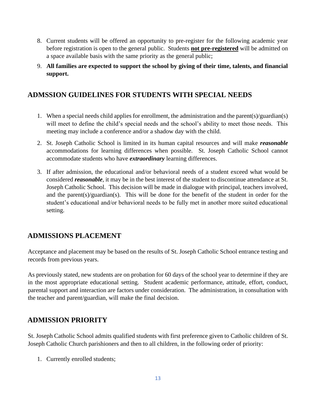- 8. Current students will be offered an opportunity to pre-register for the following academic year before registration is open to the general public. Students **not pre-registered** will be admitted on a space available basis with the same priority as the general public;
- 9. **All families are expected to support the school by giving of their time, talents, and financial support.**

### **ADMSSION GUIDELINES FOR STUDENTS WITH SPECIAL NEEDS**

- 1. When a special needs child applies for enrollment, the administration and the parent(s)/guardian(s) will meet to define the child's special needs and the school's ability to meet those needs. This meeting may include a conference and/or a shadow day with the child.
- 2. St. Joseph Catholic School is limited in its human capital resources and will make *reasonable* accommodations for learning differences when possible. St. Joseph Catholic School cannot accommodate students who have *extraordinary* learning differences.
- 3. If after admission, the educational and/or behavioral needs of a student exceed what would be considered *reasonable*, it may be in the best interest of the student to discontinue attendance at St. Joseph Catholic School. This decision will be made in dialogue with principal, teachers involved, and the parent(s)/guardian(s). This will be done for the benefit of the student in order for the student's educational and/or behavioral needs to be fully met in another more suited educational setting.

## **ADMISSIONS PLACEMENT**

Acceptance and placement may be based on the results of St. Joseph Catholic School entrance testing and records from previous years.

As previously stated, new students are on probation for 60 days of the school year to determine if they are in the most appropriate educational setting. Student academic performance, attitude, effort, conduct, parental support and interaction are factors under consideration. The administration, in consultation with the teacher and parent/guardian, will make the final decision.

### **ADMISSION PRIORITY**

St. Joseph Catholic School admits qualified students with first preference given to Catholic children of St. Joseph Catholic Church parishioners and then to all children, in the following order of priority:

1. Currently enrolled students;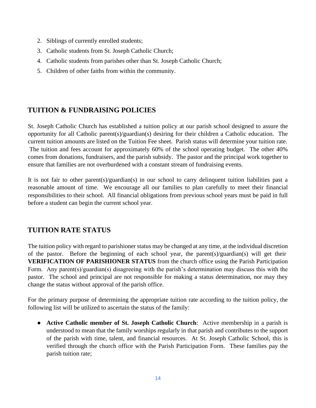- 2. Siblings of currently enrolled students;
- 3. Catholic students from St. Joseph Catholic Church;
- 4. Catholic students from parishes other than St. Joseph Catholic Church;
- 5. Children of other faiths from within the community.

## **TUITION & FUNDRAISING POLICIES**

St. Joseph Catholic Church has established a tuition policy at our parish school designed to assure the opportunity for all Catholic parent(s)/guardian(s) desiring for their children a Catholic education. The current tuition amounts are listed on the Tuition Fee sheet. Parish status will determine your tuition rate. The tuition and fees account for approximately 60% of the school operating budget. The other 40% comes from donations, fundraisers, and the parish subsidy. The pastor and the principal work together to ensure that families are not overburdened with a constant stream of fundraising events.

It is not fair to other parent(s)/guardian(s) in our school to carry delinquent tuition liabilities past a reasonable amount of time. We encourage all our families to plan carefully to meet their financial responsibilities to their school. All financial obligations from previous school years must be paid in full before a student can begin the current school year.

## **TUITION RATE STATUS**

The tuition policy with regard to parishioner status may be changed at any time, at the individual discretion of the pastor. Before the beginning of each school year, the parent(s)/guardian(s) will get their **VERIFICATION OF PARISHIONER STATUS** from the church office using the Parish Participation Form. Any parent(s)/guardian(s) disagreeing with the parish's determination may discuss this with the pastor. The school and principal are not responsible for making a status determination, nor may they change the status without approval of the parish office.

For the primary purpose of determining the appropriate tuition rate according to the tuition policy, the following list will be utilized to ascertain the status of the family:

● **Active Catholic member of St. Joseph Catholic Church**: Active membership in a parish is understood to mean that the family worships regularly in that parish and contributes to the support of the parish with time, talent, and financial resources. At St. Joseph Catholic School, this is verified through the church office with the Parish Participation Form. These families pay the parish tuition rate;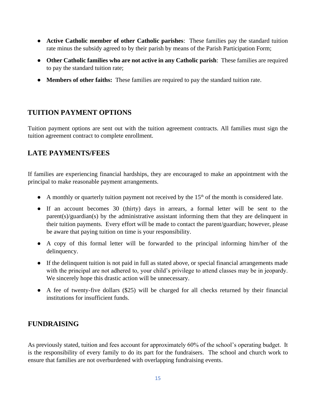- **Active Catholic member of other Catholic parishes**: These families pay the standard tuition rate minus the subsidy agreed to by their parish by means of the Parish Participation Form;
- **Other Catholic families who are not active in any Catholic parish**: These families are required to pay the standard tuition rate;
- **Members of other faiths:** These families are required to pay the standard tuition rate.

### **TUITION PAYMENT OPTIONS**

Tuition payment options are sent out with the tuition agreement contracts. All families must sign the tuition agreement contract to complete enrollment.

## **LATE PAYMENTS/FEES**

If families are experiencing financial hardships, they are encouraged to make an appointment with the principal to make reasonable payment arrangements.

- A monthly or quarterly tuition payment not received by the 15<sup>th</sup> of the month is considered late.
- If an account becomes 30 (thirty) days in arrears, a formal letter will be sent to the parent(s)/guardian(s) by the administrative assistant informing them that they are delinquent in their tuition payments. Every effort will be made to contact the parent/guardian; however, please be aware that paying tuition on time is your responsibility.
- A copy of this formal letter will be forwarded to the principal informing him/her of the delinquency.
- If the delinquent tuition is not paid in full as stated above, or special financial arrangements made with the principal are not adhered to, your child's privilege to attend classes may be in jeopardy. We sincerely hope this drastic action will be unnecessary.
- A fee of twenty-five dollars (\$25) will be charged for all checks returned by their financial institutions for insufficient funds.

### **FUNDRAISING**

As previously stated, tuition and fees account for approximately 60% of the school's operating budget. It is the responsibility of every family to do its part for the fundraisers. The school and church work to ensure that families are not overburdened with overlapping fundraising events.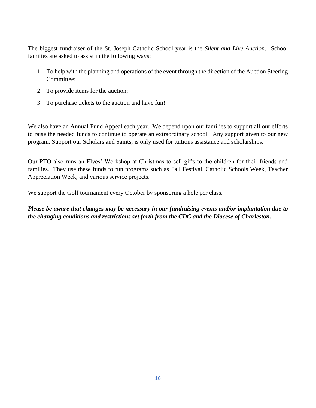The biggest fundraiser of the St. Joseph Catholic School year is the *Silent and Live Auction*. School families are asked to assist in the following ways:

- 1. To help with the planning and operations of the event through the direction of the Auction Steering Committee;
- 2. To provide items for the auction;
- 3. To purchase tickets to the auction and have fun!

We also have an Annual Fund Appeal each year. We depend upon our families to support all our efforts to raise the needed funds to continue to operate an extraordinary school. Any support given to our new program, Support our Scholars and Saints, is only used for tuitions assistance and scholarships.

Our PTO also runs an Elves' Workshop at Christmas to sell gifts to the children for their friends and families. They use these funds to run programs such as Fall Festival, Catholic Schools Week, Teacher Appreciation Week, and various service projects.

We support the Golf tournament every October by sponsoring a hole per class.

*Please be aware that changes may be necessary in our fundraising events and/or implantation due to the changing conditions and restrictions set forth from the CDC and the Diocese of Charleston.*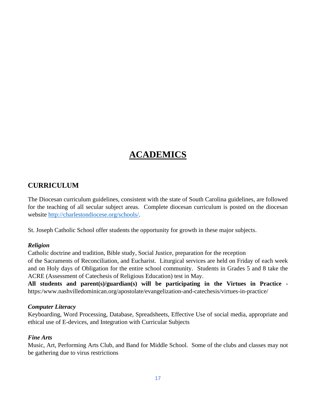## **ACADEMICS**

## **CURRICULUM**

The Diocesan curriculum guidelines, consistent with the state of South Carolina guidelines, are followed for the teaching of all secular subject areas. Complete diocesan curriculum is posted on the diocesan website [http://charlestondiocese.org/schools/.](http://charlestondiocese.org/schools/)

St. Joseph Catholic School offer students the opportunity for growth in these major subjects.

#### *Religion*

Catholic doctrine and tradition, Bible study, Social Justice, preparation for the reception

of the Sacraments of Reconciliation, and Eucharist. Liturgical services are held on Friday of each week and on Holy days of Obligation for the entire school community. Students in Grades 5 and 8 take the ACRE (Assessment of Catechesis of Religious Education) test in May.

**All students and parent(s)/guardian(s) will be participating in the Virtues in Practice**  https:/www.nashvilledominican.org/apostolate/evangelization-and-catechesis/virtues-in-practice/

#### *Computer Literacy*

Keyboarding, Word Processing, Database, Spreadsheets, Effective Use of social media, appropriate and ethical use of E-devices, and Integration with Curricular Subjects

#### *Fine Arts*

Music, Art, Performing Arts Club, and Band for Middle School. Some of the clubs and classes may not be gathering due to virus restrictions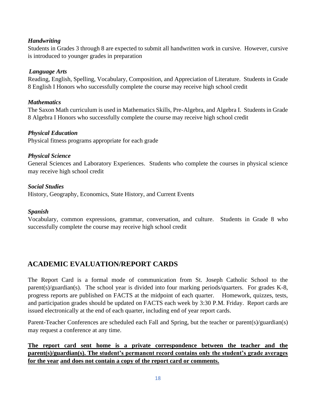#### *Handwriting*

Students in Grades 3 through 8 are expected to submit all handwritten work in cursive. However, cursive is introduced to younger grades in preparation

#### *Language Arts*

Reading, English, Spelling, Vocabulary, Composition, and Appreciation of Literature. Students in Grade 8 English I Honors who successfully complete the course may receive high school credit

#### *Mathematics*

The Saxon Math curriculum is used in Mathematics Skills, Pre-Algebra, and Algebra I. Students in Grade 8 Algebra I Honors who successfully complete the course may receive high school credit

#### *Physical Education*

Physical fitness programs appropriate for each grade

#### *Physical Science*

General Sciences and Laboratory Experiences. Students who complete the courses in physical science may receive high school credit

#### *Social Studies*

History, Geography, Economics, State History, and Current Events

#### *Spanish*

Vocabulary, common expressions, grammar, conversation, and culture. Students in Grade 8 who successfully complete the course may receive high school credit

## **ACADEMIC EVALUATION/REPORT CARDS**

The Report Card is a formal mode of communication from St. Joseph Catholic School to the parent(s)/guardian(s). The school year is divided into four marking periods/quarters. For grades K-8, progress reports are published on FACTS at the midpoint of each quarter. Homework, quizzes, tests, and participation grades should be updated on FACTS each week by 3:30 P.M. Friday. Report cards are issued electronically at the end of each quarter, including end of year report cards.

Parent-Teacher Conferences are scheduled each Fall and Spring, but the teacher or parent(s)/guardian(s) may request a conference at any time.

**The report card sent home is a private correspondence between the teacher and the parent(s)/guardian(s). The student's permanent record contains only the student's grade averages for the year and does not contain a copy of the report card or comments.**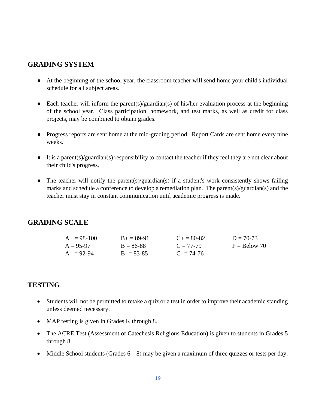#### **GRADING SYSTEM**

- At the beginning of the school year, the classroom teacher will send home your child's individual schedule for all subject areas.
- Each teacher will inform the parent(s)/guardian(s) of his/her evaluation process at the beginning of the school year. Class participation, homework, and test marks, as well as credit for class projects, may be combined to obtain grades.
- Progress reports are sent home at the mid-grading period. Report Cards are sent home every nine weeks.
- It is a parent(s)/guardian(s) responsibility to contact the teacher if they feel they are not clear about their child's progress.
- The teacher will notify the parent(s)/guardian(s) if a student's work consistently shows failing marks and schedule a conference to develop a remediation plan. The parent(s)/guardian(s) and the teacher must stay in constant communication until academic progress is made.

#### **GRADING SCALE**

| $A+=98-100$ | $B_+ = 89-91$ | $C + = 80-82$ | $D = 70-73$    |
|-------------|---------------|---------------|----------------|
| $A = 95-97$ | $B = 86-88$   | $C = 77-79$   | $F =$ Below 70 |
| $A = 92-94$ | $B = 83-85$   | $C = 74-76$   |                |

#### **TESTING**

- Students will not be permitted to retake a quiz or a test in order to improve their academic standing unless deemed necessary.
- MAP testing is given in Grades K through 8.
- The ACRE Test (Assessment of Catechesis Religious Education) is given to students in Grades 5 through 8.
- Middle School students (Grades  $6 8$ ) may be given a maximum of three quizzes or tests per day.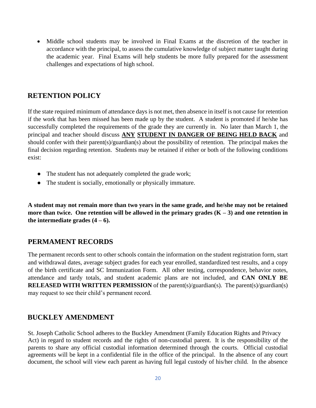• Middle school students may be involved in Final Exams at the discretion of the teacher in accordance with the principal, to assess the cumulative knowledge of subject matter taught during the academic year. Final Exams will help students be more fully prepared for the assessment challenges and expectations of high school.

### **RETENTION POLICY**

If the state required minimum of attendance days is not met, then absence in itself is not cause for retention if the work that has been missed has been made up by the student. A student is promoted if he/she has successfully completed the requirements of the grade they are currently in. No later than March 1, the principal and teacher should discuss **ANY STUDENT IN DANGER OF BEING HELD BACK** and should confer with their parent(s)/guardian(s) about the possibility of retention. The principal makes the final decision regarding retention. Students may be retained if either or both of the following conditions exist:

- The student has not adequately completed the grade work;
- The student is socially, emotionally or physically immature.

**A student may not remain more than two years in the same grade, and he/she may not be retained more than twice. One retention will be allowed in the primary grades (K – 3) and one retention in** the intermediate grades  $(4 - 6)$ .

#### **PERMAMENT RECORDS**

The permanent records sent to other schools contain the information on the student registration form, start and withdrawal dates, average subject grades for each year enrolled, standardized test results, and a copy of the birth certificate and SC Immunization Form. All other testing, correspondence, behavior notes, attendance and tardy totals, and student academic plans are not included, and **CAN ONLY BE RELEASED WITH WRITTEN PERMISSION** of the parent(s)/guardian(s). The parent(s)/guardian(s) may request to see their child's permanent record.

### **BUCKLEY AMENDMENT**

St. Joseph Catholic School adheres to the Buckley Amendment (Family Education Rights and Privacy Act) in regard to student records and the rights of non-custodial parent. It is the responsibility of the parents to share any official custodial information determined through the courts. Official custodial agreements will be kept in a confidential file in the office of the principal. In the absence of any court document, the school will view each parent as having full legal custody of his/her child. In the absence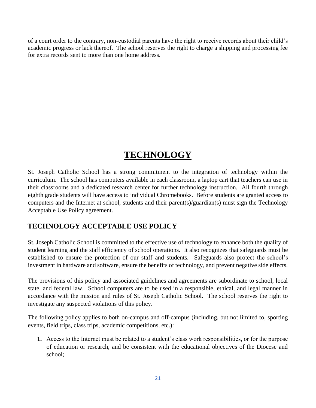of a court order to the contrary, non-custodial parents have the right to receive records about their child's academic progress or lack thereof. The school reserves the right to charge a shipping and processing fee for extra records sent to more than one home address.

## **TECHNOLOGY**

St. Joseph Catholic School has a strong commitment to the integration of technology within the curriculum. The school has computers available in each classroom, a laptop cart that teachers can use in their classrooms and a dedicated research center for further technology instruction. All fourth through eighth grade students will have access to individual Chromebooks. Before students are granted access to computers and the Internet at school, students and their parent(s)/guardian(s) must sign the Technology Acceptable Use Policy agreement.

## **TECHNOLOGY ACCEPTABLE USE POLICY**

St. Joseph Catholic School is committed to the effective use of technology to enhance both the quality of student learning and the staff efficiency of school operations. It also recognizes that safeguards must be established to ensure the protection of our staff and students. Safeguards also protect the school's investment in hardware and software, ensure the benefits of technology, and prevent negative side effects.

The provisions of this policy and associated guidelines and agreements are subordinate to school, local state, and federal law. School computers are to be used in a responsible, ethical, and legal manner in accordance with the mission and rules of St. Joseph Catholic School. The school reserves the right to investigate any suspected violations of this policy.

The following policy applies to both on-campus and off-campus (including, but not limited to, sporting events, field trips, class trips, academic competitions, etc.):

**1.** Access to the Internet must be related to a student's class work responsibilities, or for the purpose of education or research, and be consistent with the educational objectives of the Diocese and school;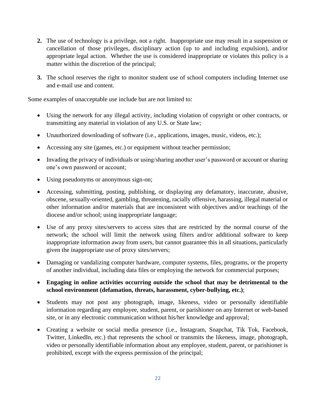- **2.** The use of technology is a privilege, not a right. Inappropriate use may result in a suspension or cancellation of those privileges, disciplinary action (up to and including expulsion), and/or appropriate legal action. Whether the use is considered inappropriate or violates this policy is a matter within the discretion of the principal;
- **3.** The school reserves the right to monitor student use of school computers including Internet use and e-mail use and content.

Some examples of unacceptable use include but are not limited to:

- Using the network for any illegal activity, including violation of copyright or other contracts, or transmitting any material in violation of any U.S. or State law;
- Unauthorized downloading of software (i.e., applications, images, music, videos, etc.);
- Accessing any site (games, etc.) or equipment without teacher permission;
- Invading the privacy of individuals or using/sharing another user's password or account or sharing one's own password or account;
- Using pseudonyms or anonymous sign-on;
- Accessing, submitting, posting, publishing, or displaying any defamatory, inaccurate, abusive, obscene, sexually-oriented, gambling, threatening, racially offensive, harassing, illegal material or other information and/or materials that are inconsistent with objectives and/or teachings of the diocese and/or school; using inappropriate language;
- Use of any proxy sites/servers to access sites that are restricted by the normal course of the network; the school will limit the network using filters and/or additional software to keep inappropriate information away from users, but cannot guarantee this in all situations, particularly given the inappropriate use of proxy sites/servers;
- Damaging or vandalizing computer hardware, computer systems, files, programs, or the property of another individual, including data files or employing the network for commercial purposes;
- **Engaging in online activities occurring outside the school that may be detrimental to the school environment (defamation, threats, harassment, cyber-bullying, etc.)**;
- Students may not post any photograph, image, likeness, video or personally identifiable information regarding any employee, student, parent, or parishioner on any Internet or web-based site, or in any electronic communication without his/her knowledge and approval;
- Creating a website or social media presence (i.e., Instagram, Snapchat, Tik Tok, Facebook, Twitter, LinkedIn, etc.) that represents the school or transmits the likeness, image, photograph, video or personally identifiable information about any employee, student, parent, or parishioner is prohibited, except with the express permission of the principal;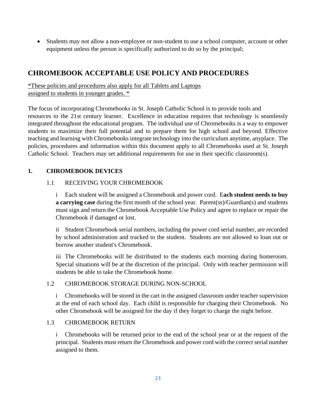• Students may not allow a non-employee or non-student to use a school computer, account or other equipment unless the person is specifically authorized to do so by the principal;

## **CHROMEBOOK ACCEPTABLE USE POLICY AND PROCEDURES**

\*These policies and procedures also apply for all Tablets and Laptops assigned to students in younger grades. \*

The focus of incorporating Chromebooks in St. Joseph Catholic School is to provide tools and resources to the 21st century learner. Excellence in education requires that technology is seamlessly integrated throughout the educational program. The individual use of Chromebooks is a way to empower students to maximize their full potential and to prepare them for high school and beyond. Effective teaching and learning with Chromebooks integrate technology into the curriculum anytime, anyplace. The policies, procedures and information within this document apply to all Chromebooks used at St. Joseph Catholic School. Teachers may set additional requirements for use in their specific classroom(s).

#### **1. CHROMEBOOK DEVICES**

#### 1.1 RECEIVING YOUR CHROMEBOOK

i Each student will be assigned a Chromebook and power cord. E**ach student needs to buy a carrying case** during the first month of the school year. Parent(ss)/Guardian(s) and students must sign and return the Chromebook Acceptable Use Policy and agree to replace or repair the Chromebook if damaged or lost.

ii Student Chromebook serial numbers, including the power cord serial number, are recorded by school administration and tracked to the student. Students are not allowed to loan out or borrow another student's Chromebook.

iii The Chromebooks will be distributed to the students each morning during homeroom. Special situations will be at the discretion of the principal. Only with teacher permission will students be able to take the Chromebook home.

#### 1.2 CHROMEBOOK STORAGE DURING NON-SCHOOL

i Chromebooks will be stored in the cart in the assigned classroom under teacher supervision at the end of each school day. Each child is responsible for charging their Chromebook. No other Chromebook will be assigned for the day if they forget to charge the night before.

#### 1.3 CHROMEBOOK RETURN

i Chromebooks will be returned prior to the end of the school year or at the request of the principal. Students must return the Chromebook and power cord with the correct serial number assigned to them.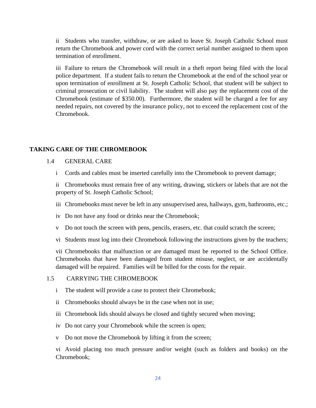ii Students who transfer, withdraw, or are asked to leave St. Joseph Catholic School must return the Chromebook and power cord with the correct serial number assigned to them upon termination of enrollment.

iii Failure to return the Chromebook will result in a theft report being filed with the local police department. If a student fails to return the Chromebook at the end of the school year or upon termination of enrollment at St. Joseph Catholic School, that student will be subject to criminal prosecution or civil liability. The student will also pay the replacement cost of the Chromebook (estimate of \$350.00). Furthermore, the student will be charged a fee for any needed repairs, not covered by the insurance policy, not to exceed the replacement cost of the Chromebook.

#### **TAKING CARE OF THE CHROMEBOOK**

#### 1.4 GENERAL CARE

i Cords and cables must be inserted carefully into the Chromebook to prevent damage;

ii Chromebooks must remain free of any writing, drawing, stickers or labels that are not the property of St. Joseph Catholic School;

- iii Chromebooks must never be left in any unsupervised area, hallways, gym, bathrooms, etc.;
- iv Do not have any food or drinks near the Chromebook;
- v Do not touch the screen with pens, pencils, erasers, etc. that could scratch the screen;
- vi Students must log into their Chromebook following the instructions given by the teachers;

vii Chromebooks that malfunction or are damaged must be reported to the School Office. Chromebooks that have been damaged from student misuse, neglect, or are accidentally damaged will be repaired. Families will be billed for the costs for the repair.

#### 1.5 CARRYING THE CHROMEBOOK

- i The student will provide a case to protect their Chromebook;
- ii Chromebooks should always be in the case when not in use;
- iii Chromebook lids should always be closed and tightly secured when moving;
- iv Do not carry your Chromebook while the screen is open;
- v Do not move the Chromebook by lifting it from the screen;

vi Avoid placing too much pressure and/or weight (such as folders and books) on the Chromebook;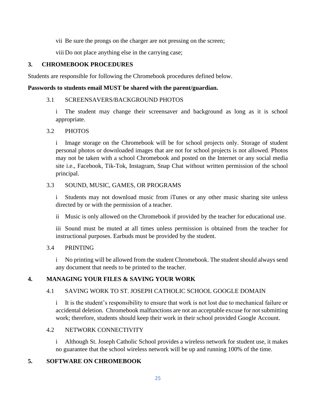vii Be sure the prongs on the charger are not pressing on the screen;

viii Do not place anything else in the carrying case;

#### **3. CHROMEBOOK PROCEDURES**

Students are responsible for following the Chromebook procedures defined below.

#### **Passwords to students email MUST be shared with the parent/guardian.**

#### 3.1 SCREENSAVERS/BACKGROUND PHOTOS

i The student may change their screensaver and background as long as it is school appropriate.

#### 3.2 PHOTOS

i Image storage on the Chromebook will be for school projects only. Storage of student personal photos or downloaded images that are not for school projects is not allowed. Photos may not be taken with a school Chromebook and posted on the Internet or any social media site i.e., Facebook, Tik-Tok, Instagram, Snap Chat without written permission of the school principal.

#### 3.3 SOUND, MUSIC, GAMES, OR PROGRAMS

i Students may not download music from iTunes or any other music sharing site unless directed by or with the permission of a teacher.

ii Music is only allowed on the Chromebook if provided by the teacher for educational use.

iii Sound must be muted at all times unless permission is obtained from the teacher for instructional purposes. Earbuds must be provided by the student.

#### 3.4 PRINTING

i No printing will be allowed from the student Chromebook. The student should always send any document that needs to be printed to the teacher.

#### **4. MANAGING YOUR FILES & SAVING YOUR WORK**

#### 4.1 SAVING WORK TO ST. JOSEPH CATHOLIC SCHOOL GOOGLE DOMAIN

i It is the student's responsibility to ensure that work is not lost due to mechanical failure or accidental deletion. Chromebook malfunctions are not an acceptable excuse for not submitting work; therefore, students should keep their work in their school provided Google Account.

#### 4.2 NETWORK CONNECTIVITY

i Although St. Joseph Catholic School provides a wireless network for student use, it makes no guarantee that the school wireless network will be up and running 100% of the time.

#### **5. SOFTWARE ON CHROMEBOOK**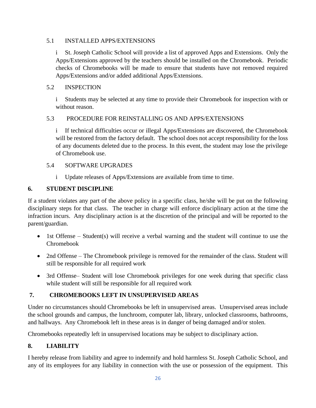#### 5.1 INSTALLED APPS/EXTENSIONS

i St. Joseph Catholic School will provide a list of approved Apps and Extensions. Only the Apps/Extensions approved by the teachers should be installed on the Chromebook. Periodic checks of Chromebooks will be made to ensure that students have not removed required Apps/Extensions and/or added additional Apps/Extensions.

#### 5.2 INSPECTION

i Students may be selected at any time to provide their Chromebook for inspection with or without reason.

#### 5.3 PROCEDURE FOR REINSTALLING OS AND APPS/EXTENSIONS

i If technical difficulties occur or illegal Apps/Extensions are discovered, the Chromebook will be restored from the factory default. The school does not accept responsibility for the loss of any documents deleted due to the process. In this event, the student may lose the privilege of Chromebook use.

#### 5.4 SOFTWARE UPGRADES

i Update releases of Apps/Extensions are available from time to time.

#### **6. STUDENT DISCIPLINE**

If a student violates any part of the above policy in a specific class, he/she will be put on the following disciplinary steps for that class. The teacher in charge will enforce disciplinary action at the time the infraction incurs. Any disciplinary action is at the discretion of the principal and will be reported to the parent/guardian.

- 1st Offense Student(s) will receive a verbal warning and the student will continue to use the Chromebook
- 2nd Offense The Chromebook privilege is removed for the remainder of the class. Student will still be responsible for all required work
- 3rd Offense– Student will lose Chromebook privileges for one week during that specific class while student will still be responsible for all required work

#### **7. CHROMEBOOKS LEFT IN UNSUPERVISED AREAS**

Under no circumstances should Chromebooks be left in unsupervised areas. Unsupervised areas include the school grounds and campus, the lunchroom, computer lab, library, unlocked classrooms, bathrooms, and hallways. Any Chromebook left in these areas is in danger of being damaged and/or stolen.

Chromebooks repeatedly left in unsupervised locations may be subject to disciplinary action.

#### **8. LIABILITY**

I hereby release from liability and agree to indemnify and hold harmless St. Joseph Catholic School, and any of its employees for any liability in connection with the use or possession of the equipment. This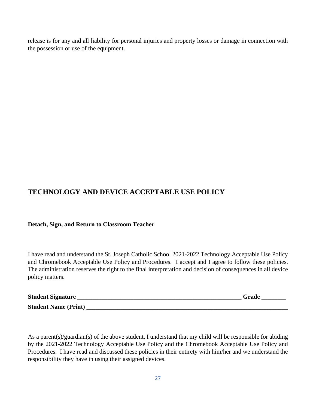release is for any and all liability for personal injuries and property losses or damage in connection with the possession or use of the equipment.

## **TECHNOLOGY AND DEVICE ACCEPTABLE USE POLICY**

#### **Detach, Sign, and Return to Classroom Teacher**

I have read and understand the St. Joseph Catholic School 2021-2022 Technology Acceptable Use Policy and Chromebook Acceptable Use Policy and Procedures. I accept and I agree to follow these policies. The administration reserves the right to the final interpretation and decision of consequences in all device policy matters.

| <b>Student Signature</b>    | Grade |
|-----------------------------|-------|
| <b>Student Name (Print)</b> |       |

As a parent(s)/guardian(s) of the above student, I understand that my child will be responsible for abiding by the 2021-2022 Technology Acceptable Use Policy and the Chromebook Acceptable Use Policy and Procedures. I have read and discussed these policies in their entirety with him/her and we understand the responsibility they have in using their assigned devices.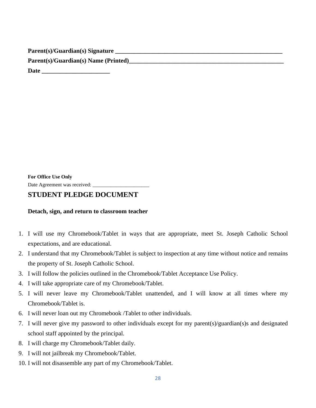**Parent(s)/Guardian(s) Signature \_\_\_\_\_\_\_\_\_\_\_\_\_\_\_\_\_\_\_\_\_\_\_\_\_\_\_\_\_\_\_\_\_\_\_\_\_\_\_\_\_\_\_\_\_\_\_\_\_\_\_\_\_\_**  Parent(s)/Guardian(s) Name (Printed)

**Date \_\_\_\_\_\_\_\_\_\_\_\_\_\_\_\_\_\_\_\_\_\_** 

**For Office Use Only**

Date Agreement was received: \_\_\_\_\_\_\_\_\_\_\_\_\_\_\_\_\_\_\_\_\_\_

#### **STUDENT PLEDGE DOCUMENT**

#### **Detach, sign, and return to classroom teacher**

- 1. I will use my Chromebook/Tablet in ways that are appropriate, meet St. Joseph Catholic School expectations, and are educational.
- 2. I understand that my Chromebook/Tablet is subject to inspection at any time without notice and remains the property of St. Joseph Catholic School.
- 3. I will follow the policies outlined in the Chromebook/Tablet Acceptance Use Policy.
- 4. I will take appropriate care of my Chromebook/Tablet.
- 5. I will never leave my Chromebook/Tablet unattended, and I will know at all times where my Chromebook/Tablet is.
- 6. I will never loan out my Chromebook /Tablet to other individuals.
- 7. I will never give my password to other individuals except for my parent(s)/guardian(s)s and designated school staff appointed by the principal.
- 8. I will charge my Chromebook/Tablet daily.
- 9. I will not jailbreak my Chromebook/Tablet.
- 10. I will not disassemble any part of my Chromebook/Tablet.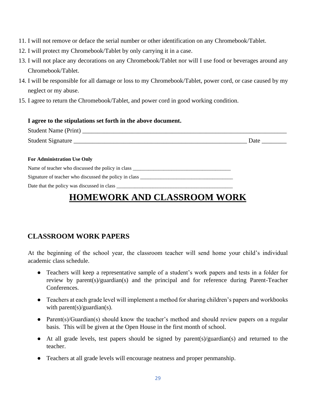- 11. I will not remove or deface the serial number or other identification on any Chromebook/Tablet.
- 12. I will protect my Chromebook/Tablet by only carrying it in a case.
- 13. I will not place any decorations on any Chromebook/Tablet nor will I use food or beverages around any Chromebook/Tablet.
- 14. I will be responsible for all damage or loss to my Chromebook/Tablet, power cord, or case caused by my neglect or my abuse.
- 15. I agree to return the Chromebook/Tablet, and power cord in good working condition.

#### **I agree to the stipulations set forth in the above document.**

| Student Name (Print) |  |
|----------------------|--|
| Student Signature    |  |

#### **For Administration Use Only**

Name of teacher who discussed the policy in class \_\_\_\_\_\_\_\_\_\_\_\_\_\_\_\_\_\_\_\_\_\_\_\_\_\_\_\_\_\_\_

Signature of teacher who discussed the policy in class

Date that the policy was discussed in class

## **HOMEWORK AND CLASSROOM WORK**

## **CLASSROOM WORK PAPERS**

At the beginning of the school year, the classroom teacher will send home your child's individual academic class schedule.

- Teachers will keep a representative sample of a student's work papers and tests in a folder for review by parent(s)/guardian(s) and the principal and for reference during Parent-Teacher Conferences.
- Teachers at each grade level will implement a method for sharing children's papers and workbooks with parent(s)/guardian(s).
- Parent(s)/Guardian(s) should know the teacher's method and should review papers on a regular basis. This will be given at the Open House in the first month of school.
- At all grade levels, test papers should be signed by parent(s)/guardian(s) and returned to the teacher.
- Teachers at all grade levels will encourage neatness and proper penmanship.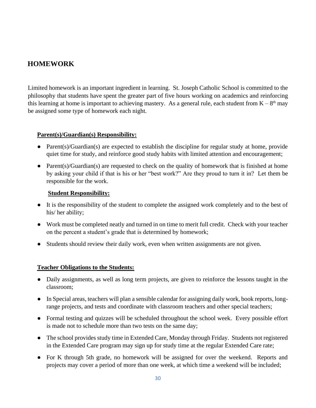## **HOMEWORK**

Limited homework is an important ingredient in learning. St. Joseph Catholic School is committed to the philosophy that students have spent the greater part of five hours working on academics and reinforcing this learning at home is important to achieving mastery. As a general rule, each student from  $K - 8<sup>th</sup>$  may be assigned some type of homework each night.

#### **Parent(s)/Guardian(s) Responsibility:**

- Parent(s)/Guardian(s) are expected to establish the discipline for regular study at home, provide quiet time for study, and reinforce good study habits with limited attention and encouragement;
- Parent(s)/Guardian(s) are requested to check on the quality of homework that is finished at home by asking your child if that is his or her "best work?" Are they proud to turn it in? Let them be responsible for the work.

#### **Student Responsibility:**

- It is the responsibility of the student to complete the assigned work completely and to the best of his/ her ability;
- Work must be completed neatly and turned in on time to merit full credit. Check with your teacher on the percent a student's grade that is determined by homework;
- Students should review their daily work, even when written assignments are not given.

#### **Teacher Obligations to the Students:**

- Daily assignments, as well as long term projects, are given to reinforce the lessons taught in the classroom;
- In Special areas, teachers will plan a sensible calendar for assigning daily work, book reports, longrange projects, and tests and coordinate with classroom teachers and other special teachers;
- Formal testing and quizzes will be scheduled throughout the school week. Every possible effort is made not to schedule more than two tests on the same day;
- The school provides study time in Extended Care, Monday through Friday. Students not registered in the Extended Care program may sign up for study time at the regular Extended Care rate;
- For K through 5th grade, no homework will be assigned for over the weekend. Reports and projects may cover a period of more than one week, at which time a weekend will be included;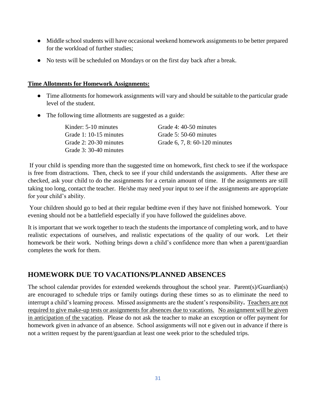- Middle school students will have occasional weekend homework assignments to be better prepared for the workload of further studies;
- No tests will be scheduled on Mondays or on the first day back after a break.

#### **Time Allotments for Homework Assignments:**

- Time allotments for homework assignments will vary and should be suitable to the particular grade level of the student.
- The following time allotments are suggested as a guide:

| Kinder: 5-10 minutes   | Grade 4: 40-50 minutes        |
|------------------------|-------------------------------|
| Grade 1: 10-15 minutes | Grade 5: 50-60 minutes        |
| Grade 2: 20-30 minutes | Grade 6, 7, 8: 60-120 minutes |
| Grade 3: 30-40 minutes |                               |

If your child is spending more than the suggested time on homework, first check to see if the workspace is free from distractions. Then, check to see if your child understands the assignments. After these are checked, ask your child to do the assignments for a certain amount of time. If the assignments are still taking too long, contact the teacher. He/she may need your input to see if the assignments are appropriate for your child's ability.

Your children should go to bed at their regular bedtime even if they have not finished homework. Your evening should not be a battlefield especially if you have followed the guidelines above.

It is important that we work together to teach the students the importance of completing work, and to have realistic expectations of ourselves, and realistic expectations of the quality of our work. Let their homework be their work. Nothing brings down a child's confidence more than when a parent/guardian completes the work for them.

## **HOMEWORK DUE TO VACATIONS/PLANNED ABSENCES**

The school calendar provides for extended weekends throughout the school year. Parent(s)/Guardian(s) are encouraged to schedule trips or family outings during these times so as to eliminate the need to interrupt a child's learning process. Missed assignments are the student's responsibility**.** Teachers are not required to give make-up tests or assignments for absences due to vacations. No assignment will be given in anticipation of the vacation. Please do not ask the teacher to make an exception or offer payment for homework given in advance of an absence. School assignments will not e given out in advance if there is not a written request by the parent/guardian at least one week prior to the scheduled trips.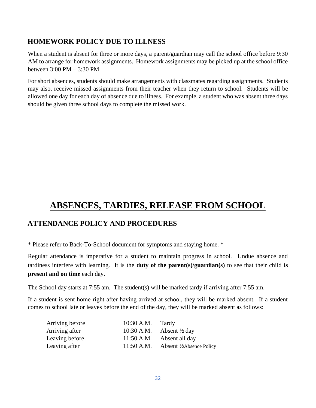## **HOMEWORK POLICY DUE TO ILLNESS**

When a student is absent for three or more days, a parent/guardian may call the school office before 9:30 AM to arrange for homework assignments. Homework assignments may be picked up at the school office between 3:00 PM – 3:30 PM.

For short absences, students should make arrangements with classmates regarding assignments. Students may also, receive missed assignments from their teacher when they return to school. Students will be allowed one day for each day of absence due to illness. For example, a student who was absent three days should be given three school days to complete the missed work.

## **ABSENCES, TARDIES, RELEASE FROM SCHOOL**

## **ATTENDANCE POLICY AND PROCEDURES**

\* Please refer to Back-To-School document for symptoms and staying home. \*

Regular attendance is imperative for a student to maintain progress in school. Undue absence and tardiness interfere with learning. It is the **duty of the parent(s)/guardian(s)** to see that their child **is present and on time** each day.

The School day starts at 7:55 am. The student(s) will be marked tardy if arriving after 7:55 am.

If a student is sent home right after having arrived at school, they will be marked absent. If a student comes to school late or leaves before the end of the day, they will be marked absent as follows:

| Arriving before | 10:30 A.M.   | Tardy                               |
|-----------------|--------------|-------------------------------------|
| Arriving after  |              | 10:30 A.M. Absent $\frac{1}{2}$ day |
| Leaving before  | 11:50 A.M.   | Absent all day                      |
| Leaving after   | $11:50$ A.M. | <b>Absent ½ Absence Policy</b>      |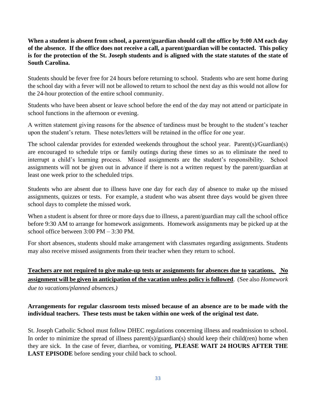**When a student is absent from school, a parent/guardian should call the office by 9:00 AM each day of the absence. If the office does not receive a call, a parent/guardian will be contacted. This policy is for the protection of the St. Joseph students and is aligned with the state statutes of the state of South Carolina.**

Students should be fever free for 24 hours before returning to school. Students who are sent home during the school day with a fever will not be allowed to return to school the next day as this would not allow for the 24-hour protection of the entire school community.

Students who have been absent or leave school before the end of the day may not attend or participate in school functions in the afternoon or evening.

A written statement giving reasons for the absence of tardiness must be brought to the student's teacher upon the student's return. These notes/letters will be retained in the office for one year.

The school calendar provides for extended weekends throughout the school year. Parent(s)/Guardian(s) are encouraged to schedule trips or family outings during these times so as to eliminate the need to interrupt a child's learning process. Missed assignments are the student's responsibility. School assignments will not be given out in advance if there is not a written request by the parent/guardian at least one week prior to the scheduled trips.

Students who are absent due to illness have one day for each day of absence to make up the missed assignments, quizzes or tests. For example, a student who was absent three days would be given three school days to complete the missed work.

When a student is absent for three or more days due to illness, a parent/guardian may call the school office before 9:30 AM to arrange for homework assignments. Homework assignments may be picked up at the school office between 3:00 PM – 3:30 PM.

For short absences, students should make arrangement with classmates regarding assignments. Students may also receive missed assignments from their teacher when they return to school.

## **Teachers are not required to give make-up tests or assignments for absences due to vacations. No assignment will be given in anticipation of the vacation unless policy is followed**. (See also *Homework due to vacations/planned absences.)*

#### **Arrangements for regular classroom tests missed because of an absence are to be made with the individual teachers. These tests must be taken within one week of the original test date.**

St. Joseph Catholic School must follow DHEC regulations concerning illness and readmission to school. In order to minimize the spread of illness parent(s)/guardian(s) should keep their child(ren) home when they are sick. In the case of fever, diarrhea, or vomiting, **PLEASE WAIT 24 HOURS AFTER THE LAST EPISODE** before sending your child back to school.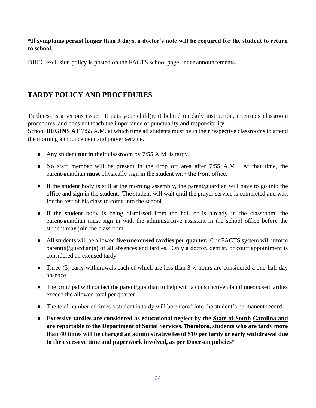#### **\*If symptoms persist longer than 3 days, a doctor's note will be required for the student to return to school.**

DHEC exclusion policy is posted on the FACTS school page under announcements.

## **TARDY POLICY AND PROCEDURES**

Tardiness is a serious issue. It puts your child(ren) behind on daily instruction, interrupts classroom procedures, and does not teach the importance of punctuality and responsibility.

School **BEGINS AT** 7:55 A.M. at which time all students must be in their respective classrooms to attend the morning announcement and prayer service.

- Any student **not in** their classroom by 7:55 A.M. is tardy.
- No staff member will be present in the drop off area after 7:55 A.M. At that time, the parent/guardian **must** physically sign in the student with the front office.
- If the student body is still at the morning assembly, the parent/guardian will have to go into the office and sign in the student. The student will wait until the prayer service is completed and wait for the rest of his class to come into the school
- If the student body is being dismissed from the hall or is already in the classroom, the parent/guardian must sign in with the administrative assistant in the school office before the student may join the classroom
- All students will be allowed **five unexcused tardies per quarter.** Our FACTS system will inform parent(s)/guardian(s) of all absences and tardies. Only a doctor, dentist, or court appointment is considered an excused tardy
- Three (3) early withdrawals each of which are less than  $3\frac{1}{2}$  hours are considered a one-half day absence
- The principal will contact the parent/guardian to help with a constructive plan if unexcused tardies exceed the allowed total per quarter
- The total number of times a student is tardy will be entered into the student's permanent record
- **Excessive tardies are considered as educational neglect by the State of South Carolina and are reportable to the Department of Social Services. Therefore, students who are tardy more than 40 times will be charged an administrative fee of \$10 per tardy or early withdrawal due to the excessive time and paperwork involved, as per Diocesan policies\***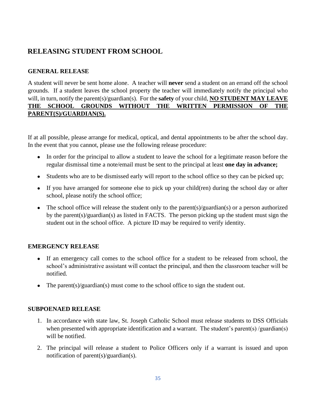## **RELEASING STUDENT FROM SCHOOL**

#### **GENERAL RELEASE**

A student will never be sent home alone. A teacher will **never** send a student on an errand off the school grounds. If a student leaves the school property the teacher will immediately notify the principal who will, in turn, notify the parent(s)/guardian(s). For the **safety** of your child, **NO STUDENT MAY LEAVE THE SCHOOL GROUNDS WITHOUT THE WRITTEN PERMISSION OF THE PARENT(S)/GUARDIAN(S).**

If at all possible, please arrange for medical, optical, and dental appointments to be after the school day. In the event that you cannot, please use the following release procedure:

- In order for the principal to allow a student to leave the school for a legitimate reason before the regular dismissal time a note/email must be sent to the principal at least **one day in advance;**
- Students who are to be dismissed early will report to the school office so they can be picked up;
- If you have arranged for someone else to pick up your child(ren) during the school day or after school, please notify the school office;
- The school office will release the student only to the parent(s)/guardian(s) or a person authorized by the parent(s)/guardian(s) as listed in FACTS. The person picking up the student must sign the student out in the school office. A picture ID may be required to verify identity.

#### **EMERGENCY RELEASE**

- If an emergency call comes to the school office for a student to be released from school, the school's administrative assistant will contact the principal, and then the classroom teacher will be notified.
- The parent(s)/guardian(s) must come to the school office to sign the student out.

#### **SUBPOENAED RELEASE**

- 1. In accordance with state law, St. Joseph Catholic School must release students to DSS Officials when presented with appropriate identification and a warrant. The student's parent(s) /guardian(s) will be notified.
- 2. The principal will release a student to Police Officers only if a warrant is issued and upon notification of parent(s)/guardian(s).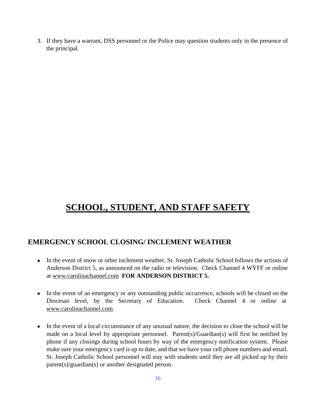3. If they have a warrant, DSS personnel or the Police may question students only in the presence of the principal.

## **SCHOOL, STUDENT, AND STAFF SAFETY**

### **EMERGENCY SCHOOL CLOSING/ INCLEMENT WEATHER**

- In the event of snow or other inclement weather, St. Joseph Catholic School follows the actions of Anderson District 5, as announced on the radio or television. Check Channel 4 WYFF or online at [www.carolinachannel.com](about:blank) **FOR ANDERSON DISTRICT 5.**
- In the event of an emergency or any outstanding public occurrence, schools will be closed on the Diocesan level, by the Secretary of Education. Check Channel 4 or online at [www.carolinachannel.com.](about:blank)
- In the event of a local circumstance of any unusual nature, the decision to close the school will be made on a local level by appropriate personnel. Parent(s)/Guardian(s) will first be notified by phone if any closings during school hours by way of the emergency notification system. Please make sure your emergency card is up to date, and that we have your cell phone numbers and email. St. Joseph Catholic School personnel will stay with students until they are all picked up by their parent(s)/guardian(s) or another designated person.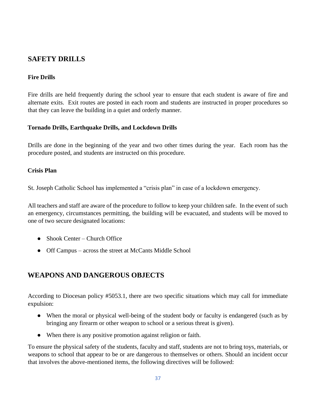## **SAFETY DRILLS**

#### **Fire Drills**

Fire drills are held frequently during the school year to ensure that each student is aware of fire and alternate exits. Exit routes are posted in each room and students are instructed in proper procedures so that they can leave the building in a quiet and orderly manner.

#### **Tornado Drills, Earthquake Drills, and Lockdown Drills**

Drills are done in the beginning of the year and two other times during the year. Each room has the procedure posted, and students are instructed on this procedure.

#### **Crisis Plan**

St. Joseph Catholic School has implemented a "crisis plan" in case of a lockdown emergency.

All teachers and staff are aware of the procedure to follow to keep your children safe. In the event of such an emergency, circumstances permitting, the building will be evacuated, and students will be moved to one of two secure designated locations:

- Shook Center Church Office
- Off Campus across the street at McCants Middle School

## **WEAPONS AND DANGEROUS OBJECTS**

According to Diocesan policy #5053.1, there are two specific situations which may call for immediate expulsion:

- When the moral or physical well-being of the student body or faculty is endangered (such as by bringing any firearm or other weapon to school or a serious threat is given).
- When there is any positive promotion against religion or faith.

To ensure the physical safety of the students, faculty and staff, students are not to bring toys, materials, or weapons to school that appear to be or are dangerous to themselves or others. Should an incident occur that involves the above-mentioned items, the following directives will be followed: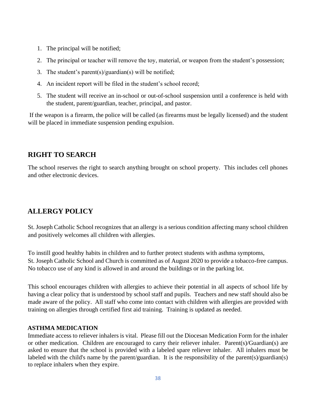- 1. The principal will be notified;
- 2. The principal or teacher will remove the toy, material, or weapon from the student's possession;
- 3. The student's parent(s)/guardian(s) will be notified;
- 4. An incident report will be filed in the student's school record;
- 5. The student will receive an in-school or out-of-school suspension until a conference is held with the student, parent/guardian, teacher, principal, and pastor.

If the weapon is a firearm, the police will be called (as firearms must be legally licensed) and the student will be placed in immediate suspension pending expulsion.

## **RIGHT TO SEARCH**

The school reserves the right to search anything brought on school property. This includes cell phones and other electronic devices.

## **ALLERGY POLICY**

St. Joseph Catholic School recognizes that an allergy is a serious condition affecting many school children and positively welcomes all children with allergies.

To instill good healthy habits in children and to further protect students with asthma symptoms, St. Joseph Catholic School and Church is committed as of August 2020 to provide a tobacco-free campus. No tobacco use of any kind is allowed in and around the buildings or in the parking lot.

This school encourages children with allergies to achieve their potential in all aspects of school life by having a clear policy that is understood by school staff and pupils. Teachers and new staff should also be made aware of the policy. All staff who come into contact with children with allergies are provided with training on allergies through certified first aid training. Training is updated as needed.

#### **ASTHMA MEDICATION**

Immediate access to reliever inhalers is vital. Please fill out the Diocesan Medication Form for the inhaler or other medication. Children are encouraged to carry their reliever inhaler. Parent(s)/Guardian(s) are asked to ensure that the school is provided with a labeled spare reliever inhaler. All inhalers must be labeled with the child's name by the parent/guardian. It is the responsibility of the parent(s)/guardian(s) to replace inhalers when they expire.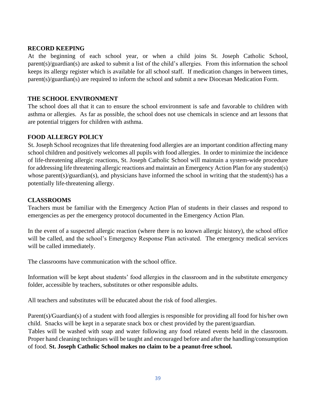#### **RECORD KEEPING**

At the beginning of each school year, or when a child joins St. Joseph Catholic School, parent(s)/guardian(s) are asked to submit a list of the child's allergies. From this information the school keeps its allergy register which is available for all school staff. If medication changes in between times, parent(s)/guardian(s) are required to inform the school and submit a new Diocesan Medication Form.

#### **THE SCHOOL ENVIRONMENT**

The school does all that it can to ensure the school environment is safe and favorable to children with asthma or allergies. As far as possible, the school does not use chemicals in science and art lessons that are potential triggers for children with asthma.

#### **FOOD ALLERGY POLICY**

St. Joseph School recognizes that life threatening food allergies are an important condition affecting many school children and positively welcomes all pupils with food allergies. In order to minimize the incidence of life-threatening allergic reactions, St. Joseph Catholic School will maintain a system-wide procedure for addressing life threatening allergic reactions and maintain an Emergency Action Plan for any student(s) whose parent(s)/guardian(s), and physicians have informed the school in writing that the student(s) has a potentially life-threatening allergy.

#### **CLASSROOMS**

Teachers must be familiar with the Emergency Action Plan of students in their classes and respond to emergencies as per the emergency protocol documented in the Emergency Action Plan.

In the event of a suspected allergic reaction (where there is no known allergic history), the school office will be called, and the school's Emergency Response Plan activated. The emergency medical services will be called immediately.

The classrooms have communication with the school office.

Information will be kept about students' food allergies in the classroom and in the substitute emergency folder, accessible by teachers, substitutes or other responsible adults.

All teachers and substitutes will be educated about the risk of food allergies.

Parent(s)/Guardian(s) of a student with food allergies is responsible for providing all food for his/her own child. Snacks will be kept in a separate snack box or chest provided by the parent/guardian. Tables will be washed with soap and water following any food related events held in the classroom. Proper hand cleaning techniques will be taught and encouraged before and after the handling/consumption of food. **St. Joseph Catholic School makes no claim to be a peanut-free school.**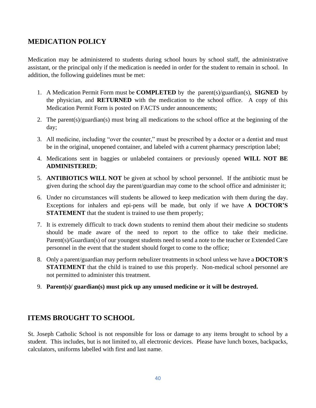## **MEDICATION POLICY**

Medication may be administered to students during school hours by school staff, the administrative assistant, or the principal only if the medication is needed in order for the student to remain in school. In addition, the following guidelines must be met:

- 1. A Medication Permit Form must be **COMPLETED** by the parent(s)/guardian(s), **SIGNED** by the physician, and **RETURNED** with the medication to the school office. A copy of this Medication Permit Form is posted on FACTS under announcements;
- 2. The parent(s)/guardian(s) must bring all medications to the school office at the beginning of the day;
- 3. All medicine, including "over the counter," must be prescribed by a doctor or a dentist and must be in the original, unopened container, and labeled with a current pharmacy prescription label;
- 4. Medications sent in baggies or unlabeled containers or previously opened **WILL NOT BE ADMINISTERED**;
- 5. **ANTIBIOTICS WILL NOT** be given at school by school personnel. If the antibiotic must be given during the school day the parent/guardian may come to the school office and administer it;
- 6. Under no circumstances will students be allowed to keep medication with them during the day. Exceptions for inhalers and epi-pens will be made, but only if we have **A DOCTOR'S STATEMENT** that the student is trained to use them properly;
- 7. It is extremely difficult to track down students to remind them about their medicine so students should be made aware of the need to report to the office to take their medicine. Parent(s)/Guardian(s) of our youngest students need to send a note to the teacher or Extended Care personnel in the event that the student should forget to come to the office;
- 8. Only a parent/guardian may perform nebulizer treatments in school unless we have a **DOCTOR'S STATEMENT** that the child is trained to use this properly. Non-medical school personnel are not permitted to administer this treatment.
- 9. **Parent(s)/ guardian(s) must pick up any unused medicine or it will be destroyed.**

## **ITEMS BROUGHT TO SCHOOL**

St. Joseph Catholic School is not responsible for loss or damage to any items brought to school by a student. This includes, but is not limited to, all electronic devices. Please have lunch boxes, backpacks, calculators, uniforms labelled with first and last name.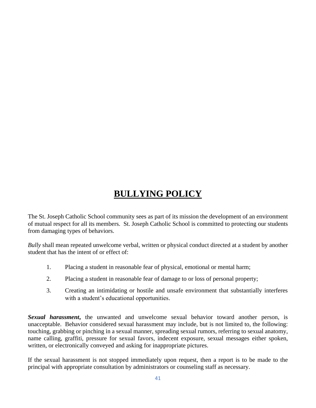## **BULLYING POLICY**

The St. Joseph Catholic School community sees as part of its mission the development of an environment of mutual respect for all its members. St. Joseph Catholic School is committed to protecting our students from damaging types of behaviors.

*Bully* shall mean repeated unwelcome verbal, written or physical conduct directed at a student by another student that has the intent of or effect of:

- 1. Placing a student in reasonable fear of physical, emotional or mental harm;
- 2. Placing a student in reasonable fear of damage to or loss of personal property;
- 3. Creating an intimidating or hostile and unsafe environment that substantially interferes with a student's educational opportunities.

**Sexual harassment**, the unwanted and unwelcome sexual behavior toward another person, is unacceptable. Behavior considered sexual harassment may include, but is not limited to, the following: touching, grabbing or pinching in a sexual manner, spreading sexual rumors, referring to sexual anatomy, name calling, graffiti, pressure for sexual favors, indecent exposure, sexual messages either spoken, written, or electronically conveyed and asking for inappropriate pictures.

If the sexual harassment is not stopped immediately upon request, then a report is to be made to the principal with appropriate consultation by administrators or counseling staff as necessary.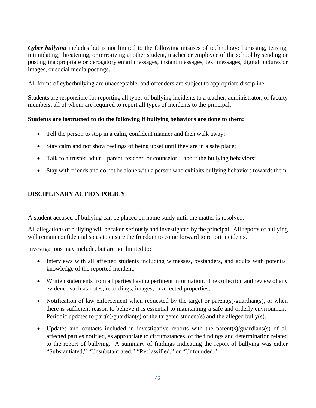*Cyber bullying* includes but is not limited to the following misuses of technology: harassing, teasing, intimidating, threatening, or terrorizing another student, teacher or employee of the school by sending or posting inappropriate or derogatory email messages, instant messages, text messages, digital pictures or images, or social media postings.

All forms of cyberbullying are unacceptable, and offenders are subject to appropriate discipline.

Students are responsible for reporting all types of bullying incidents to a teacher, administrator, or faculty members, all of whom are required to report all types of incidents to the principal.

#### **Students are instructed to do the following if bullying behaviors are done to them:**

- Tell the person to stop in a calm, confident manner and then walk away;
- Stay calm and not show feelings of being upset until they are in a safe place;
- Talk to a trusted adult parent, teacher, or counselor about the bullying behaviors;
- Stay with friends and do not be alone with a person who exhibits bullying behaviors towards them.

#### **DISCIPLINARY ACTION POLICY**

A student accused of bullying can be placed on home study until the matter is resolved.

All allegations of bullying will be taken seriously and investigated by the principal. All reports of bullying will remain confidential so as to ensure the freedom to come forward to report incidents.

Investigations may include, but are not limited to:

- Interviews with all affected students including witnesses, bystanders, and adults with potential knowledge of the reported incident;
- Written statements from all parties having pertinent information. The collection and review of any evidence such as notes, recordings, images, or affected properties;
- Notification of law enforcement when requested by the target or parent(s)/guardian(s), or when there is sufficient reason to believe it is essential to maintaining a safe and orderly environment. Periodic updates to part(s)/guardian(s) of the targeted student(s) and the alleged bully(s).
- Updates and contacts included in investigative reports with the parent(s)/guardians(s) of all affected parties notified, as appropriate to circumstances, of the findings and determination related to the report of bullying. A summary of findings indicating the report of bullying was either "Substantiated," "Unsubstantiated," "Reclassified," or "Unfounded."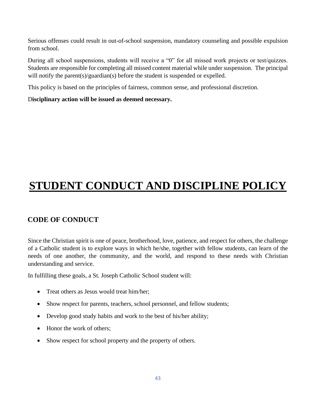Serious offenses could result in out-of-school suspension, mandatory counseling and possible expulsion from school.

During all school suspensions, students will receive a "0" for all missed work projects or test/quizzes. Students are responsible for completing all missed content material while under suspension. The principal will notify the parent(s)/guardian(s) before the student is suspended or expelled.

This policy is based on the principles of fairness, common sense, and professional discretion.

D**isciplinary action will be issued as deemed necessary.**

## **STUDENT CONDUCT AND DISCIPLINE POLICY**

## **CODE OF CONDUCT**

Since the Christian spirit is one of peace, brotherhood, love, patience, and respect for others, the challenge of a Catholic student is to explore ways in which he/she, together with fellow students, can learn of the needs of one another, the community, and the world, and respond to these needs with Christian understanding and service.

In fulfilling these goals, a St. Joseph Catholic School student will:

- Treat others as Jesus would treat him/her;
- Show respect for parents, teachers, school personnel, and fellow students;
- Develop good study habits and work to the best of his/her ability;
- Honor the work of others;
- Show respect for school property and the property of others.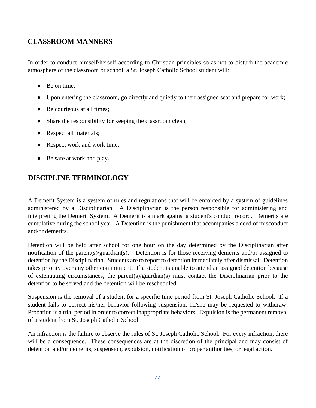## **CLASSROOM MANNERS**

In order to conduct himself/herself according to Christian principles so as not to disturb the academic atmosphere of the classroom or school, a St. Joseph Catholic School student will:

- Be on time:
- Upon entering the classroom, go directly and quietly to their assigned seat and prepare for work;
- Be courteous at all times;
- Share the responsibility for keeping the classroom clean;
- Respect all materials;
- Respect work and work time;
- Be safe at work and play.

## **DISCIPLINE TERMINOLOGY**

A Demerit System is a system of rules and regulations that will be enforced by a system of guidelines administered by a Disciplinarian. A Disciplinarian is the person responsible for administering and interpreting the Demerit System. A Demerit is a mark against a student's conduct record. Demerits are cumulative during the school year. A Detention is the punishment that accompanies a deed of misconduct and/or demerits.

Detention will be held after school for one hour on the day determined by the Disciplinarian after notification of the parent(s)/guardian(s). Detention is for those receiving demerits and/or assigned to detention by the Disciplinarian. Students are to report to detention immediately after dismissal. Detention takes priority over any other commitment. If a student is unable to attend an assigned detention because of extenuating circumstances, the parent(s)/guardian(s) must contact the Disciplinarian prior to the detention to be served and the detention will be rescheduled.

Suspension is the removal of a student for a specific time period from St. Joseph Catholic School. If a student fails to correct his/her behavior following suspension, he/she may be requested to withdraw. Probation is a trial period in order to correct inappropriate behaviors. Expulsion is the permanent removal of a student from St. Joseph Catholic School.

An infraction is the failure to observe the rules of St. Joseph Catholic School. For every infraction, there will be a consequence. These consequences are at the discretion of the principal and may consist of detention and/or demerits, suspension, expulsion, notification of proper authorities, or legal action.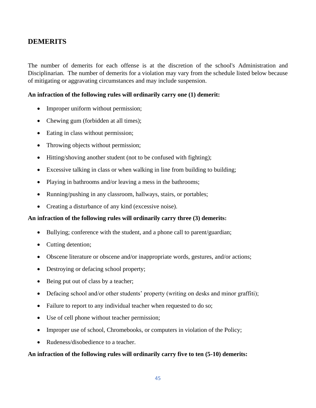### **DEMERITS**

The number of demerits for each offense is at the discretion of the school's Administration and Disciplinarian. The number of demerits for a violation may vary from the schedule listed below because of mitigating or aggravating circumstances and may include suspension.

#### **An infraction of the following rules will ordinarily carry one (1) demerit:**

- Improper uniform without permission;
- Chewing gum (forbidden at all times);
- Eating in class without permission;
- Throwing objects without permission;
- Hitting/shoving another student (not to be confused with fighting);
- Excessive talking in class or when walking in line from building to building;
- Playing in bathrooms and/or leaving a mess in the bathrooms;
- Running/pushing in any classroom, hallways, stairs, or portables;
- Creating a disturbance of any kind (excessive noise).

#### **An infraction of the following rules will ordinarily carry three (3) demerits:**

- Bullying; conference with the student, and a phone call to parent/guardian;
- Cutting detention;
- Obscene literature or obscene and/or inappropriate words, gestures, and/or actions;
- Destroying or defacing school property;
- Being put out of class by a teacher;
- Defacing school and/or other students' property (writing on desks and minor graffiti);
- Failure to report to any individual teacher when requested to do so;
- Use of cell phone without teacher permission;
- Improper use of school, Chromebooks, or computers in violation of the Policy;
- Rudeness/disobedience to a teacher.

#### **An infraction of the following rules will ordinarily carry five to ten (5-10) demerits:**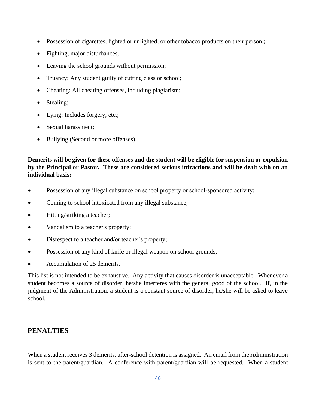- Possession of cigarettes, lighted or unlighted, or other tobacco products on their person.;
- Fighting, major disturbances;
- Leaving the school grounds without permission;
- Truancy: Any student guilty of cutting class or school;
- Cheating: All cheating offenses, including plagiarism;
- Stealing;
- Lying: Includes forgery, etc.;
- Sexual harassment;
- Bullying (Second or more offenses).

#### **Demerits will be given for these offenses and the student will be eligible for suspension or expulsion by the Principal or Pastor. These are considered serious infractions and will be dealt with on an individual basis:**

- Possession of any illegal substance on school property or school-sponsored activity;
- Coming to school intoxicated from any illegal substance;
- Hitting/striking a teacher;
- Vandalism to a teacher's property;
- Disrespect to a teacher and/or teacher's property;
- Possession of any kind of knife or illegal weapon on school grounds;
- Accumulation of 25 demerits.

This list is not intended to be exhaustive. Any activity that causes disorder is unacceptable. Whenever a student becomes a source of disorder, he/she interferes with the general good of the school. If, in the judgment of the Administration, a student is a constant source of disorder, he/she will be asked to leave school.

### **PENALTIES**

When a student receives 3 demerits, after-school detention is assigned. An email from the Administration is sent to the parent/guardian. A conference with parent/guardian will be requested. When a student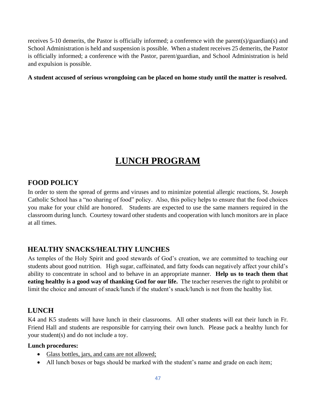receives 5-10 demerits, the Pastor is officially informed; a conference with the parent(s)/guardian(s) and School Administration is held and suspension is possible. When a student receives 25 demerits, the Pastor is officially informed; a conference with the Pastor, parent/guardian, and School Administration is held and expulsion is possible.

#### **A student accused of serious wrongdoing can be placed on home study until the matter is resolved.**

## **LUNCH PROGRAM**

#### **FOOD POLICY**

In order to stem the spread of germs and viruses and to minimize potential allergic reactions, St. Joseph Catholic School has a "no sharing of food" policy. Also, this policy helps to ensure that the food choices you make for your child are honored. Students are expected to use the same manners required in the classroom during lunch. Courtesy toward other students and cooperation with lunch monitors are in place at all times.

## **HEALTHY SNACKS/HEALTHY LUNCHES**

As temples of the Holy Spirit and good stewards of God's creation, we are committed to teaching our students about good nutrition. High sugar, caffeinated, and fatty foods can negatively affect your child's ability to concentrate in school and to behave in an appropriate manner. **Help us to teach them that eating healthy is a good way of thanking God for our life.** The teacher reserves the right to prohibit or limit the choice and amount of snack/lunch if the student's snack/lunch is not from the healthy list.

## **LUNCH**

K4 and K5 students will have lunch in their classrooms. All other students will eat their lunch in Fr. Friend Hall and students are responsible for carrying their own lunch. Please pack a healthy lunch for your student(s) and do not include a toy.

#### **Lunch procedures:**

- Glass bottles, jars, and cans are not allowed;
- All lunch boxes or bags should be marked with the student's name and grade on each item;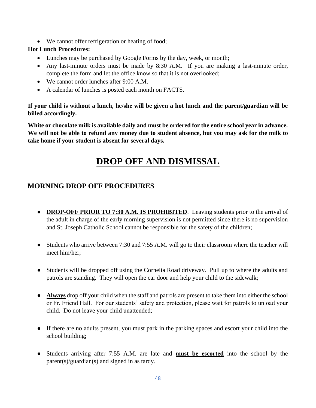• We cannot offer refrigeration or heating of food;

#### **Hot Lunch Procedures:**

- Lunches may be purchased by Google Forms by the day, week, or month;
- Any last-minute orders must be made by 8:30 A.M. If you are making a last-minute order, complete the form and let the office know so that it is not overlooked;
- We cannot order lunches after 9:00 A.M.
- A calendar of lunches is posted each month on FACTS.

**If your child is without a lunch, he/she will be given a hot lunch and the parent/guardian will be billed accordingly.**

**White or chocolate milk is available daily and must be ordered for the entire school year in advance. We will not be able to refund any money due to student absence, but you may ask for the milk to take home if your student is absent for several days.** 

## **DROP OFF AND DISMISSAL**

## **MORNING DROP OFF PROCEDURES**

- **DROP-OFF PRIOR TO 7:30 A.M. IS PROHIBITED.** Leaving students prior to the arrival of the adult in charge of the early morning supervision is not permitted since there is no supervision and St. Joseph Catholic School cannot be responsible for the safety of the children;
- Students who arrive between 7:30 and 7:55 A.M. will go to their classroom where the teacher will meet him/her;
- Students will be dropped off using the Cornelia Road driveway. Pull up to where the adults and patrols are standing. They will open the car door and help your child to the sidewalk;
- **Always** drop off your child when the staff and patrols are present to take them into either the school or Fr. Friend Hall. For our students' safety and protection, please wait for patrols to unload your child. Do not leave your child unattended;
- If there are no adults present, you must park in the parking spaces and escort your child into the school building;
- Students arriving after 7:55 A.M. are late and **must be escorted** into the school by the parent(s)/guardian(s) and signed in as tardy.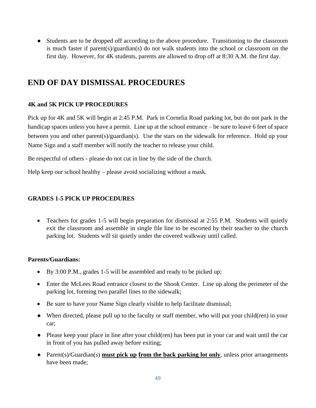● Students are to be dropped off according to the above procedure. Transitioning to the classroom is much faster if parent(s)/guardian(s) do not walk students into the school or classroom on the first day. However, for 4K students, parents are allowed to drop off at 8:30 A.M. the first day.

## **END OF DAY DISMISSAL PROCEDURES**

#### **4K and 5K PICK UP PROCEDURES**

Pick up for 4K and 5K will begin at 2:45 P.M. Park in Cornelia Road parking lot, but do not park in the handicap spaces unless you have a permit. Line up at the school entrance – be sure to leave 6 feet of space between you and other parent(s)/guardian(s). Use the stars on the sidewalk for reference. Hold up your Name Sign and a staff member will notify the teacher to release your child.

Be respectful of others - please do not cut in line by the side of the church.

Help keep our school healthy – please avoid socializing without a mask.

#### **GRADES 1-5 PICK UP PROCEDURES**

• Teachers for grades 1-5 will begin preparation for dismissal at 2:55 P.M. Students will quietly exit the classroom and assemble in single file line to be escorted by their teacher to the church parking lot. Students will sit quietly under the covered walkway until called.

#### **Parents/Guardians:**

- By 3:00 P.M., grades 1-5 will be assembled and ready to be picked up;
- Enter the McLees Road entrance closest to the Shook Center. Line up along the perimeter of the parking lot, forming two parallel lines to the sidewalk;
- Be sure to have your Name Sign clearly visible to help facilitate dismissal;
- When directed, please pull up to the faculty or staff member, who will put your child(ren) in your car;
- Please keep your place in line after your child(ren) has been put in your car and wait until the car in front of you has pulled away before exiting;
- Parent(s)/Guardian(s) **must pick up from the back parking lot only**, unless prior arrangements have been made;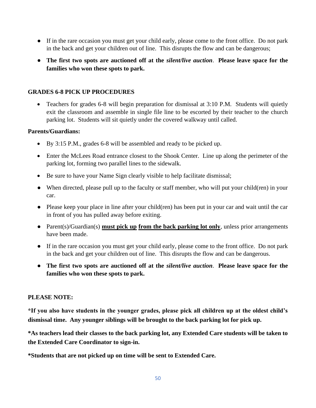- If in the rare occasion you must get your child early, please come to the front office. Do not park in the back and get your children out of line. This disrupts the flow and can be dangerous;
- **The first two spots are auctioned off at the** *silent/live auction*. **Please leave space for the families who won these spots to park.**

#### **GRADES 6-8 PICK UP PROCEDURES**

• Teachers for grades 6-8 will begin preparation for dismissal at 3:10 P.M. Students will quietly exit the classroom and assemble in single file line to be escorted by their teacher to the church parking lot. Students will sit quietly under the covered walkway until called.

#### **Parents/Guardians:**

- By 3:15 P.M., grades 6-8 will be assembled and ready to be picked up.
- Enter the McLees Road entrance closest to the Shook Center. Line up along the perimeter of the parking lot, forming two parallel lines to the sidewalk.
- Be sure to have your Name Sign clearly visible to help facilitate dismissal;
- When directed, please pull up to the faculty or staff member, who will put your child(ren) in your car.
- Please keep your place in line after your child(ren) has been put in your car and wait until the car in front of you has pulled away before exiting.
- Parent(s)/Guardian(s) **must pick up from the back parking lot only**, unless prior arrangements have been made.
- If in the rare occasion you must get your child early, please come to the front office. Do not park in the back and get your children out of line. This disrupts the flow and can be dangerous.
- **The first two spots are auctioned off at the** *silent/live auction*. **Please leave space for the families who won these spots to park.**

#### **PLEASE NOTE:**

**\*If you also have students in the younger grades, please pick all children up at the oldest child's dismissal time. Any younger siblings will be brought to the back parking lot for pick up.**

**\*As teachers lead their classes to the back parking lot, any Extended Care students will be taken to the Extended Care Coordinator to sign-in.**

**\*Students that are not picked up on time will be sent to Extended Care.**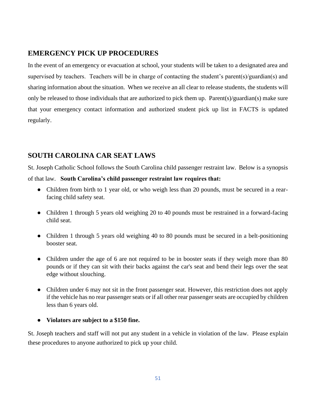## **EMERGENCY PICK UP PROCEDURES**

In the event of an emergency or evacuation at school, your students will be taken to a designated area and supervised by teachers. Teachers will be in charge of contacting the student's parent(s)/guardian(s) and sharing information about the situation. When we receive an all clear to release students, the students will only be released to those individuals that are authorized to pick them up. Parent(s)/guardian(s) make sure that your emergency contact information and authorized student pick up list in FACTS is updated regularly.

## **SOUTH CAROLINA CAR SEAT LAWS**

St. Joseph Catholic School follows the South Carolina child passenger restraint law. Below is a synopsis

of that law. **South Carolina's child passenger restraint law requires that:**

- Children from birth to 1 year old, or who weigh less than 20 pounds, must be secured in a rearfacing child safety seat.
- Children 1 through 5 years old weighing 20 to 40 pounds must be restrained in a forward-facing child seat.
- Children 1 through 5 years old weighing 40 to 80 pounds must be secured in a belt-positioning booster seat.
- Children under the age of 6 are not required to be in booster seats if they weigh more than 80 pounds or if they can sit with their backs against the car's seat and bend their legs over the seat edge without slouching.
- Children under 6 may not sit in the front passenger seat. However, this restriction does not apply if the vehicle has no rear passenger seats or if all other rear passenger seats are occupied by children less than 6 years old.
- **Violators are subject to a \$150 fine.**

St. Joseph teachers and staff will not put any student in a vehicle in violation of the law. Please explain these procedures to anyone authorized to pick up your child.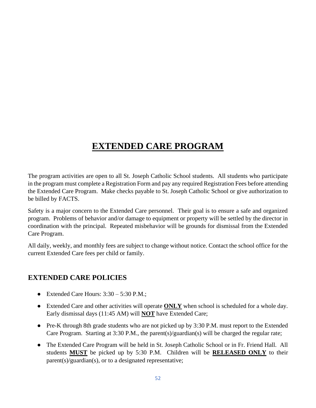## **EXTENDED CARE PROGRAM**

The program activities are open to all St. Joseph Catholic School students. All students who participate in the program must complete a Registration Form and pay any required Registration Fees before attending the Extended Care Program. Make checks payable to St. Joseph Catholic School or give authorization to be billed by FACTS.

Safety is a major concern to the Extended Care personnel. Their goal is to ensure a safe and organized program. Problems of behavior and/or damage to equipment or property will be settled by the director in coordination with the principal. Repeated misbehavior will be grounds for dismissal from the Extended Care Program.

All daily, weekly, and monthly fees are subject to change without notice. Contact the school office for the current Extended Care fees per child or family.

### **EXTENDED CARE POLICIES**

- Extended Care Hours:  $3:30 5:30$  P.M.;
- Extended Care and other activities will operate **ONLY** when school is scheduled for a whole day. Early dismissal days (11:45 AM) will **NOT** have Extended Care;
- Pre-K through 8th grade students who are not picked up by 3:30 P.M. must report to the Extended Care Program. Starting at 3:30 P.M., the parent(s)/guardian(s) will be charged the regular rate;
- The Extended Care Program will be held in St. Joseph Catholic School or in Fr. Friend Hall. All students **MUST** be picked up by 5:30 P.M. Children will be **RELEASED ONLY** to their parent(s)/guardian(s), or to a designated representative;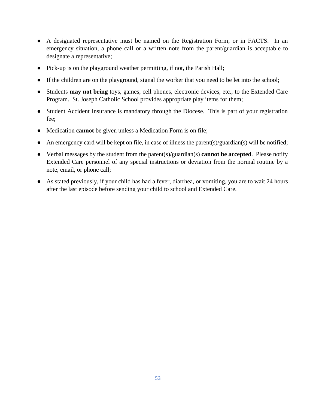- A designated representative must be named on the Registration Form, or in FACTS. In an emergency situation, a phone call or a written note from the parent/guardian is acceptable to designate a representative;
- Pick-up is on the playground weather permitting, if not, the Parish Hall;
- If the children are on the playground, signal the worker that you need to be let into the school;
- Students **may not bring** toys, games, cell phones, electronic devices, etc., to the Extended Care Program. St. Joseph Catholic School provides appropriate play items for them;
- Student Accident Insurance is mandatory through the Diocese. This is part of your registration fee;
- Medication **cannot** be given unless a Medication Form is on file;
- An emergency card will be kept on file, in case of illness the parent(s)/guardian(s) will be notified;
- Verbal messages by the student from the parent(s)/guardian(s) **cannot be accepted**. Please notify Extended Care personnel of any special instructions or deviation from the normal routine by a note, email, or phone call;
- As stated previously, if your child has had a fever, diarrhea, or vomiting, you are to wait 24 hours after the last episode before sending your child to school and Extended Care.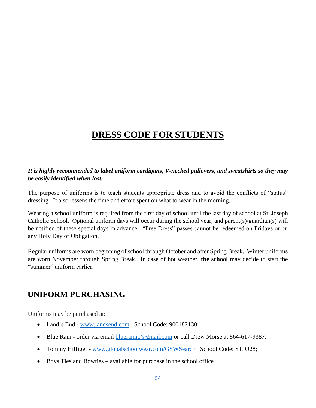## **DRESS CODE FOR STUDENTS**

#### *It is highly recommended to label uniform cardigans, V-necked pullovers, and sweatshirts so they may be easily identified when lost.*

The purpose of uniforms is to teach students appropriate dress and to avoid the conflicts of "status" dressing. It also lessens the time and effort spent on what to wear in the morning.

Wearing a school uniform is required from the first day of school until the last day of school at St. Joseph Catholic School. Optional uniform days will occur during the school year, and parent(s)/guardian(s) will be notified of these special days in advance. "Free Dress" passes cannot be redeemed on Fridays or on any Holy Day of Obligation.

Regular uniforms are worn beginning of school through October and after Spring Break. Winter uniforms are worn November through Spring Break. In case of hot weather, **the school** may decide to start the "summer" uniform earlier.

## **UNIFORM PURCHASING**

Uniforms may be purchased at:

- Land's End [www.landsend.com.](http://www.landsend.com/) School Code: 900182130;
- Blue Ram order via email [blueramic@gmail.com](about:blank) or call Drew Morse at 864-617-9387;
- Tommy Hilfiger [www.globalschoolwear.com/GSWSearch](http://www.globalschoolwear.com/GSWSearch) School Code: STJO28;
- Boys Ties and Bowties available for purchase in the school office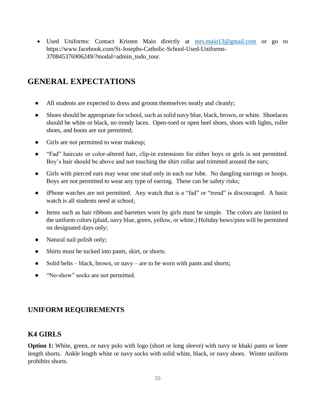• Used Uniforms: Contact Kristen Maio directly at [mrs.maio13@gmail.com](about:blank) or go to https://www.facebook.com/St-Josephs-Catholic-School-Used-Uniforms-370845376906249/?modal=admin\_todo\_tour.

## **GENERAL EXPECTATIONS**

- All students are expected to dress and groom themselves neatly and cleanly;
- Shoes should be appropriate for school, such as solid navy blue, black, brown, or white. Shoelaces should be white or black, no trendy laces. Open-toed or open heel shoes, shoes with lights, roller shoes, and boots are not permitted;
- Girls are not permitted to wear makeup;
- "Fad" haircuts or color-altered hair, clip-in extensions for either boys or girls is not permitted. Boy's hair should be above and not touching the shirt collar and trimmed around the ears;
- Girls with pierced ears may wear one stud only in each ear lobe. No dangling earrings or hoops. Boys are not permitted to wear any type of earring. These can be safety risks;
- iPhone watches are not permitted. Any watch that is a "fad" or "trend" is discouraged. A basic watch is all students need at school;
- Items such as hair ribbons and barrettes worn by girls must be simple. The colors are limited to the uniform colors (plaid, navy blue, green, yellow, or white.) Holiday bows/pins will be permitted on designated days only;
- Natural nail polish only;
- Shirts must be tucked into pants, skirt, or shorts.
- Solid belts black, brown, or navy are to be worn with pants and shorts;
- "No-show" socks are not permitted.

## **UNIFORM REQUIREMENTS**

### **K4 GIRLS**

**Option 1:** White, green, or navy polo with logo (short or long sleeve) with navy or khaki pants or knee length shorts. Ankle length white or navy socks with solid white, black, or navy shoes. Winter uniform prohibits shorts.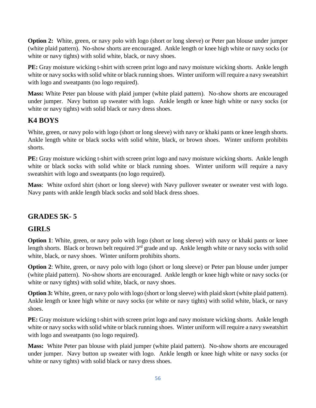**Option 2:** White, green, or navy polo with logo (short or long sleeve) or Peter pan blouse under jumper (white plaid pattern). No-show shorts are encouraged. Ankle length or knee high white or navy socks (or white or navy tights) with solid white, black, or navy shoes.

**PE:** Gray moisture wicking t-shirt with screen print logo and navy moisture wicking shorts. Ankle length white or navy socks with solid white or black running shoes. Winter uniform will require a navy sweatshirt with logo and sweatpants (no logo required).

**Mass:** White Peter pan blouse with plaid jumper (white plaid pattern). No-show shorts are encouraged under jumper. Navy button up sweater with logo. Ankle length or knee high white or navy socks (or white or navy tights) with solid black or navy dress shoes.

## **K4 BOYS**

White, green, or navy polo with logo (short or long sleeve) with navy or khaki pants or knee length shorts. Ankle length white or black socks with solid white, black, or brown shoes. Winter uniform prohibits shorts.

**PE:** Gray moisture wicking t-shirt with screen print logo and navy moisture wicking shorts. Ankle length white or black socks with solid white or black running shoes. Winter uniform will require a navy sweatshirt with logo and sweatpants (no logo required).

**Mass**: White oxford shirt (short or long sleeve) with Navy pullover sweater or sweater vest with logo. Navy pants with ankle length black socks and sold black dress shoes.

## **GRADES 5K- 5**

## **GIRLS**

**Option 1**: White, green, or navy polo with logo (short or long sleeve) with navy or khaki pants or knee length shorts. Black or brown belt required 3<sup>rd</sup> grade and up. Ankle length white or navy socks with solid white, black, or navy shoes. Winter uniform prohibits shorts.

**Option 2:** White, green, or navy polo with logo (short or long sleeve) or Peter pan blouse under jumper (white plaid pattern). No-show shorts are encouraged. Ankle length or knee high white or navy socks (or white or navy tights) with solid white, black, or navy shoes.

**Option 3:** White, green, or navy polo with logo (short or long sleeve) with plaid skort (white plaid pattern). Ankle length or knee high white or navy socks (or white or navy tights) with solid white, black, or navy shoes.

**PE:** Gray moisture wicking t-shirt with screen print logo and navy moisture wicking shorts. Ankle length white or navy socks with solid white or black running shoes. Winter uniform will require a navy sweatshirt with logo and sweatpants (no logo required).

**Mass:** White Peter pan blouse with plaid jumper (white plaid pattern). No-show shorts are encouraged under jumper. Navy button up sweater with logo. Ankle length or knee high white or navy socks (or white or navy tights) with solid black or navy dress shoes.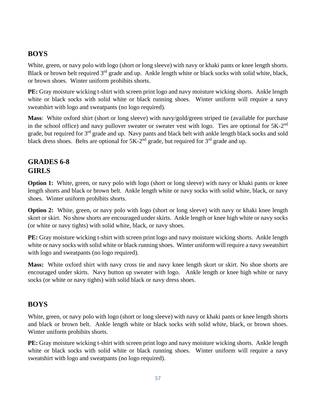## **BOYS**

White, green, or navy polo with logo (short or long sleeve) with navy or khaki pants or knee length shorts. Black or brown belt required  $3<sup>rd</sup>$  grade and up. Ankle length white or black socks with solid white, black, or brown shoes. Winter uniform prohibits shorts.

**PE:** Gray moisture wicking t-shirt with screen print logo and navy moisture wicking shorts. Ankle length white or black socks with solid white or black running shoes. Winter uniform will require a navy sweatshirt with logo and sweatpants (no logo required).

**Mass**: White oxford shirt (short or long sleeve) with navy/gold/green striped tie (available for purchase in the school office) and navy pullover sweater or sweater vest with logo. Ties are optional for 5K-2<sup>nd</sup> grade, but required for 3<sup>rd</sup> grade and up. Navy pants and black belt with ankle length black socks and sold black dress shoes. Belts are optional for  $5K-2^{nd}$  grade, but required for  $3^{rd}$  grade and up.

## **GRADES 6-8 GIRLS**

**Option 1:** White, green, or navy polo with logo (short or long sleeve) with navy or khaki pants or knee length shorts and black or brown belt. Ankle length white or navy socks with solid white, black, or navy shoes. Winter uniform prohibits shorts.

**Option 2:** White, green, or navy polo with logo (short or long sleeve) with navy or khaki knee length skort or skirt. No show shorts are encouraged under skirts. Ankle length or knee high white or navy socks (or white or navy tights) with solid white, black, or navy shoes.

**PE:** Gray moisture wicking t-shirt with screen print logo and navy moisture wicking shorts. Ankle length white or navy socks with solid white or black running shoes. Winter uniform will require a navy sweatshirt with logo and sweatpants (no logo required).

**Mass:** White oxford shirt with navy cross tie and navy knee length skort or skirt. No shoe shorts are encouraged under skirts. Navy button up sweater with logo. Ankle length or knee high white or navy socks (or white or navy tights) with solid black or navy dress shoes.

## **BOYS**

White, green, or navy polo with logo (short or long sleeve) with navy or khaki pants or knee length shorts and black or brown belt. Ankle length white or black socks with solid white, black, or brown shoes. Winter uniform prohibits shorts.

**PE:** Gray moisture wicking t-shirt with screen print logo and navy moisture wicking shorts. Ankle length white or black socks with solid white or black running shoes. Winter uniform will require a navy sweatshirt with logo and sweatpants (no logo required).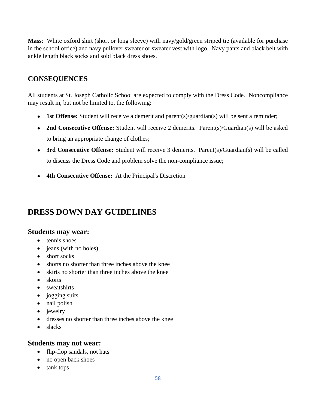**Mass**: White oxford shirt (short or long sleeve) with navy/gold/green striped tie (available for purchase in the school office) and navy pullover sweater or sweater vest with logo. Navy pants and black belt with ankle length black socks and sold black dress shoes.

## **CONSEQUENCES**

All students at St. Joseph Catholic School are expected to comply with the Dress Code. Noncompliance may result in, but not be limited to, the following:

- **1st Offense:** Student will receive a demerit and parent(s)/guardian(s) will be sent a reminder;
- **2nd Consecutive Offense:** Student will receive 2 demerits. Parent(s)/Guardian(s) will be asked to bring an appropriate change of clothes;
- 3rd Consecutive Offense: Student will receive 3 demerits. Parent(s)/Guardian(s) will be called to discuss the Dress Code and problem solve the non-compliance issue;
- **4th Consecutive Offense:** At the Principal's Discretion

## **DRESS DOWN DAY GUIDELINES**

#### **Students may wear:**

- tennis shoes
- jeans (with no holes)
- short socks
- shorts no shorter than three inches above the knee
- skirts no shorter than three inches above the knee
- skorts
- sweatshirts
- jogging suits
- nail polish
- jewelry
- dresses no shorter than three inches above the knee
- slacks

### **Students may not wear:**

- flip-flop sandals, not hats
- no open back shoes
- tank tops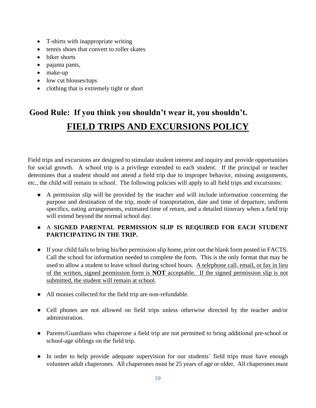- T-shirts with inappropriate writing
- tennis shoes that convert to roller skates
- biker shorts
- pajama pants,
- make-up
- low cut blouses/tops
- clothing that is extremely tight or short

## **Good Rule: If you think you shouldn't wear it, you shouldn't. FIELD TRIPS AND EXCURSIONS POLICY**

Field trips and excursions are designed to stimulate student interest and inquiry and provide opportunities for social growth. A school trip is a privilege extended to each student. If the principal or teacher determines that a student should not attend a field trip due to improper behavior, missing assignments, etc., the child will remain in school. The following policies will apply to all field trips and excursions:

● A permission slip will be provided by the teacher and will include information concerning the purpose and destination of the trip, mode of transportation, date and time of departure, uniform specifics, eating arrangements, estimated time of return, and a detailed itinerary when a field trip will extend beyond the normal school day.

#### ● A **SIGNED PARENTAL PERMISSION SLIP IS REQUIRED FOR EACH STUDENT PARTICIPATING IN THE TRIP.**

- If your child fails to bring his/her permission slip home, print out the blank form posted in FACTS. Call the school for information needed to complete the form. This is the only format that may be used to allow a student to leave school during school hours. A telephone call, email, or fax in lieu of the written, signed permission form is **NOT** acceptable. If the signed permission slip is not submitted, the student will remain at school.
- All monies collected for the field trip are non-refundable.
- Cell phones are not allowed on field trips unless otherwise directed by the teacher and/or administration.
- Parents/Guardians who chaperone a field trip are not permitted to bring additional pre-school or school-age siblings on the field trip.
- In order to help provide adequate supervision for our students' field trips must have enough volunteer adult chaperones. All chaperones must be 25 years of age or older. All chaperones must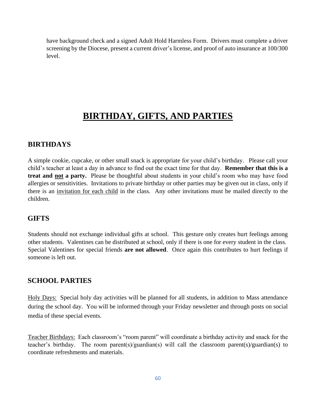have background check and a signed Adult Hold Harmless Form. Drivers must complete a driver screening by the Diocese, present a current driver's license, and proof of auto insurance at 100/300 level.

## **BIRTHDAY, GIFTS, AND PARTIES**

#### **BIRTHDAYS**

A simple cookie, cupcake, or other small snack is appropriate for your child's birthday. Please call your child's teacher at least a day in advance to find out the exact time for that day. **Remember that this is a treat and not a party.** Please be thoughtful about students in your child's room who may have food allergies or sensitivities. Invitations to private birthday or other parties may be given out in class, only if there is an invitation for each child in the class. Any other invitations must be mailed directly to the children.

#### **GIFTS**

Students should not exchange individual gifts at school. This gesture only creates hurt feelings among other students. Valentines can be distributed at school, only if there is one for every student in the class. Special Valentines for special friends **are not allowed**. Once again this contributes to hurt feelings if someone is left out.

#### **SCHOOL PARTIES**

Holy Days: Special holy day activities will be planned for all students, in addition to Mass attendance during the school day. You will be informed through your Friday newsletter and through posts on social media of these special events.

Teacher Birthdays: Each classroom's "room parent" will coordinate a birthday activity and snack for the teacher's birthday. The room parent(s)/guardian(s) will call the classroom parent(s)/guardian(s) to coordinate refreshments and materials.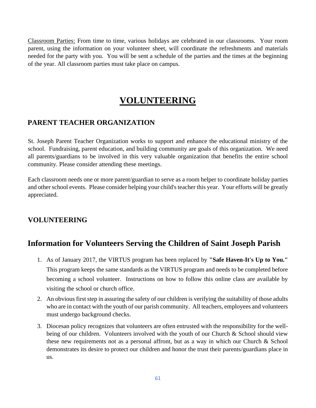Classroom Parties: From time to time, various holidays are celebrated in our classrooms. Your room parent, using the information on your volunteer sheet, will coordinate the refreshments and materials needed for the party with you. You will be sent a schedule of the parties and the times at the beginning of the year. All classroom parties must take place on campus.

## **VOLUNTEERING**

### **PARENT TEACHER ORGANIZATION**

St. Joseph Parent Teacher Organization works to support and enhance the educational ministry of the school. Fundraising, parent education, and building community are goals of this organization. We need all parents/guardians to be involved in this very valuable organization that benefits the entire school community. Please consider attending these meetings.

Each classroom needs one or more parent/guardian to serve as a room helper to coordinate holiday parties and other school events. Please consider helping your child's teacher this year. Your efforts will be greatly appreciated.

### **VOLUNTEERING**

## **Information for Volunteers Serving the Children of Saint Joseph Parish**

- 1. As of January 2017, the VIRTUS program has been replaced by **"Safe Haven-It's Up to You."** This program keeps the same standards as the VIRTUS program and needs to be completed before becoming a school volunteer. Instructions on how to follow this online class are available by visiting the school or church office.
- 2. An obvious first step in assuring the safety of our children is verifying the suitability of those adults who are in contact with the youth of our parish community. All teachers, employees and volunteers must undergo background checks.
- 3. Diocesan policy recognizes that volunteers are often entrusted with the responsibility for the wellbeing of our children. Volunteers involved with the youth of our Church & School should view these new requirements not as a personal affront, but as a way in which our Church & School demonstrates its desire to protect our children and honor the trust their parents/guardians place in us.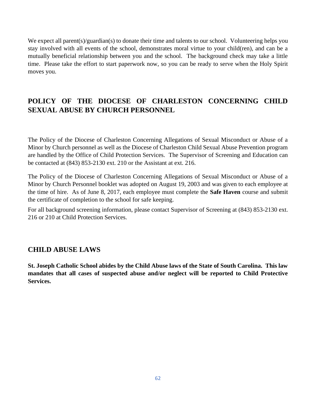We expect all parent(s)/guardian(s) to donate their time and talents to our school. Volunteering helps you stay involved with all events of the school, demonstrates moral virtue to your child(ren), and can be a mutually beneficial relationship between you and the school. The background check may take a little time. Please take the effort to start paperwork now, so you can be ready to serve when the Holy Spirit moves you.

## **POLICY OF THE DIOCESE OF CHARLESTON CONCERNING CHILD SEXUAL ABUSE BY CHURCH PERSONNEL**

The Policy of the Diocese of Charleston Concerning Allegations of Sexual Misconduct or Abuse of a Minor by Church personnel as well as the Diocese of Charleston Child Sexual Abuse Prevention program are handled by the Office of Child Protection Services. The Supervisor of Screening and Education can be contacted at (843) 853-2130 ext. 210 or the Assistant at ext. 216.

The Policy of the Diocese of Charleston Concerning Allegations of Sexual Misconduct or Abuse of a Minor by Church Personnel booklet was adopted on August 19, 2003 and was given to each employee at the time of hire. As of June 8, 2017, each employee must complete the **Safe Haven** course and submit the certificate of completion to the school for safe keeping.

For all background screening information, please contact Supervisor of Screening at (843) 853-2130 ext. 216 or 210 at Child Protection Services.

#### **CHILD ABUSE LAWS**

**St. Joseph Catholic School abides by the Child Abuse laws of the State of South Carolina. This law mandates that all cases of suspected abuse and/or neglect will be reported to Child Protective Services.**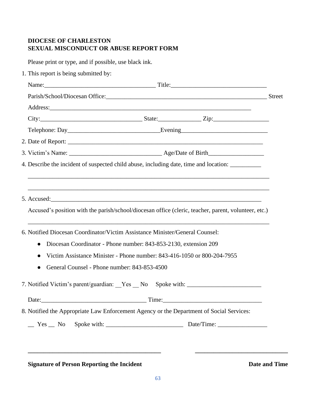## **DIOCESE OF CHARLESTON SEXUAL MISCONDUCT OR ABUSE REPORT FORM**

Please print or type, and if possible, use black ink.

1. This report is being submitted by:

| 4. Describe the incident of suspected child abuse, including date, time and location:                |  |  |
|------------------------------------------------------------------------------------------------------|--|--|
|                                                                                                      |  |  |
|                                                                                                      |  |  |
| Accused's position with the parish/school/diocesan office (cleric, teacher, parent, volunteer, etc.) |  |  |
|                                                                                                      |  |  |
| 6. Notified Diocesan Coordinator/Victim Assistance Minister/General Counsel:                         |  |  |
| Diocesan Coordinator - Phone number: 843-853-2130, extension 209<br>$\bullet$                        |  |  |
| Victim Assistance Minister - Phone number: 843-416-1050 or 800-204-7955                              |  |  |
| General Counsel - Phone number: 843-853-4500                                                         |  |  |
| 7. Notified Victim's parent/guardian: Yes No Spoke with: _______________________                     |  |  |
|                                                                                                      |  |  |
| 8. Notified the Appropriate Law Enforcement Agency or the Department of Social Services:             |  |  |
|                                                                                                      |  |  |
|                                                                                                      |  |  |